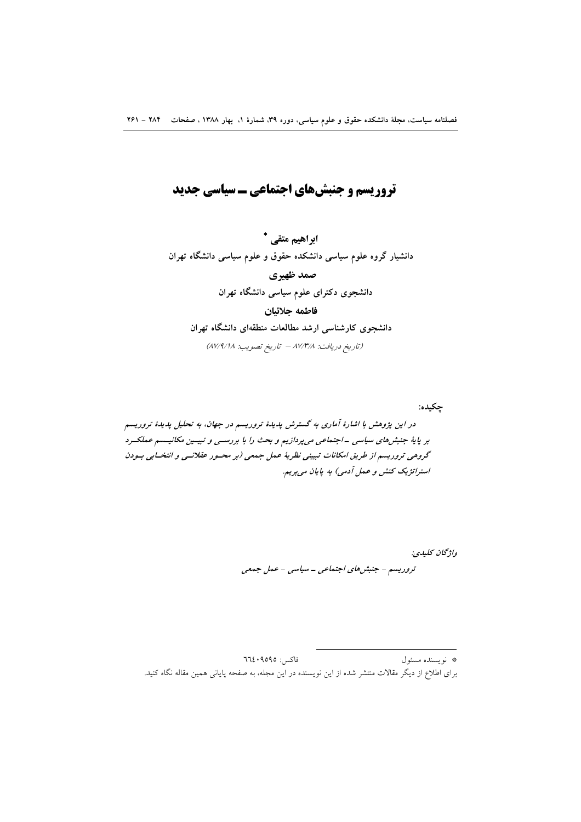## تروریسم و جنبشهای اجتماعی ـ سیاسی جدید

ابراهیم متقی \* دانشیار گروه علوم سیاسی دانشکده حقوق و علوم سیاسی دانشگاه تهران صمد ظهیری دانشجوی دکترای علوم سیاسی دانشگاه تهران فاطمه جلائيان دانشجوی کارشناسی ارشد مطالعات منطقهای دانشگاه تهران (تاريخ دريافت: ٨٧/٣/٨ - تاريخ تصويب: ٨٧/٩/١٨)

چکیده: در این پژوهش با اشارهٔ آماری به گسترش پدیدهٔ تروریسم در جهان، به تحلیل پدیدهٔ تروریسم بر پایهٔ جنبش های سیاسی -اجتماعی می پردازیم و بحث را با بررستی و تبیتین مکانیستم عملکترد گروهی تروریسم از طریق امکانات تبیینی نظریهٔ عمل جمعی (بر محسور عقلانسی و انتخسابی بسودن استراتژیک کنش و عمل آدمی) به پایان میبریم.

> واژگان كليدي: تروریسم - جنبش های اجتماعی - سیاسی - عمل جمعی

فاكس: ٩٥٩٥: ٦٦٤ \* نويسنده مسئول برای اطلاع از دیگر مقالات منتشر شده از این نویسنده در این مجله، به صفحه پایانی همین مقاله نگاه کنید.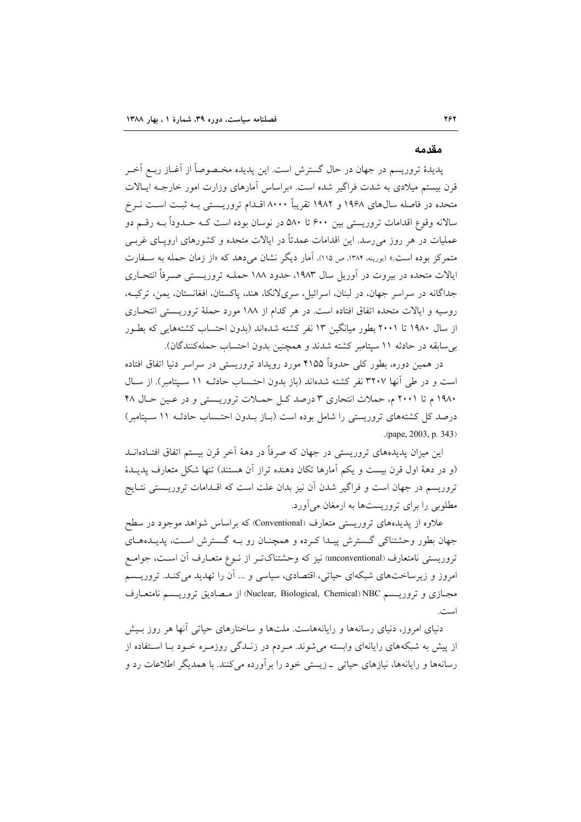#### مقدمه

پدیدهٔ تروریسم در جهان در حال گسترش است. این پدیده مخـصوصاً از آغــاز ربــع آخــر قرن بیستم میلادی به شدت فراگیر شده است. «براساس آمارهای وزارت امور خارجـه ایـالات متحده در فاصله سال0های ۱۹۶۸ و ۱۹۸۲ تقریباً ۸۰۰۰ اقـدام تروریــستی بــه ثبــت اســت نــرخ سالانه وقوع اقدامات تروریستی بین ۶۰۰ تا ۵۸۰ در نوسان بوده است کـه حـدوداً بـه رقـم دو عملیات در هر روز می رسد. این اقدامات عمدتاً در ایالات متحده و کشورهای ارویــای غربــی متمرکز بوده است.» (بورینه، ۱۳۸۴، ص ۱۱۵). آمار دیگر نشان میدهد که «از زمان حمله به سـفارت ایالات متحده در بیروت در آوریل سال ۱۹۸۳، حدود ۱۸۸ حملـه تروریــستی صــرفاً انتحــاری جداگانه در سراسر جهان، در لبنان، اسرائیل، سریلانکا، هند، پاکستان، افغانستان، پمن، ترکیـه، روسیه و ایالات متحده اتفاق افتاده است. در هر کدام از ۱۸۸ مورد حملهٔ تروریـستی انتحـاری از سال ۱۹۸۰ تا ۲۰۰۱ بطور میانگین ۱۳ نفر کشته شدهاند (بدون احتساب کشتههایی که بطـور بی سابقه در حادثه ١١ سيتامبر كشته شدند و همچنين بدون احتساب حملهكنندگان).

در همین دوره، بطور کلی حدوداً ۴۱۵۵ مورد رویداد تروریستی در سراسر دنیا اتفاق افتاده است و در طی آنها ۳۲۰۷ نفر کشته شدهاند (باز بدون احتـساب حادثـه ۱۱ سـیتامبر). از سـال ۱۹۸۰ م تا ۲۰۰۱ م، حملات انتحاری ۳ درصد کل حملات تروریستی و در عین حال ۴۸ درصد کل کشتههای تروریستی را شامل بوده است (بـاز بـدون احتـساب حادثـه ۱۱ سـیتامبر) (pape, 2003, p. 343)

این میزان پدیدههای تروریستی در جهان که صرفاً در دههٔ آخر قرن بیستم اتفاق افتـادهانــد (و در دههٔ اول قرن بیست و یکم اَمارها تکان دهنده تراز اَن هستند) تنها شکل متعارف پدیــدهٔ تروریسم در جهان است و فراگیر شدن آن نیز بدان علت است که اقــدامات تروریــستی نتــایج مطلوبی را برای تروریستها به ارمغان می آورد.

علاوه از پدیدههای تروریستی متعارف (Conventional) که براساس شواهد موجود در سطح جهان بطور وحشتناکی گسترش پیـدا کـرده و همچنـان رو بـه گـسترش اسـت، پدیـدههـای تروريستي نامتعارف (unconventional) نيز كه وحشتناك تـر از نــوع متعــارف آن اســت، جوامــع امروز و زیرساختهای شبکهای حیاتی، اقتصادی، سیاسی و … آن را تهدید میکنـد. تروریــسم مجبازي و تروريسم Nuclear, Biological, Chemical) NBC) از مصاديق تروريسم نامتعبارف است.

دنیای امروز، دنیای رسانهها و رایانههاست. ملتها و ساختارهای حیاتی آنها هر روز بـیش از پیش به شبکههای رایانهای وابسته می شوند. مـردم در زنــدگی روزمـره خــود بــا اســتفاده از رسانهها و رایانهها، نیازهای حیاتی \_زیستی خود را بر آورده می کنند. با همدیگر اطلاعات رد و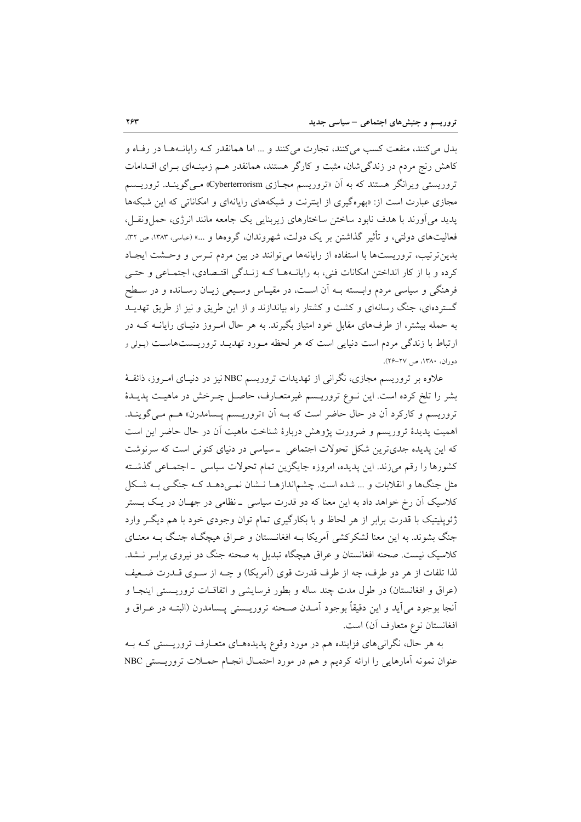بدل می کنند، منفعت کسب می کنند، تجارت می کنند و ... اما همانقدر کـه رایانـههـا در رفـاه و کاهش رنج مردم در زندگی شان، مثبت و کارگر هستند، همانقدر هـم زمینـهای بـرای اقـدامات تروریستی ویرانگر هستند که به آن «تروریسم مجـازی Cyberterrorism» مــی گوینــد. تروریــسم مجازی عبارت است از: «بهره گیری از اینترنت و شبکههای رایانهای و امکاناتی که این شبکهها یدید می آورند با هدف نابود ساختن ساختارهای زیربنایی یک جامعه مانند انرژی، حمل ونقـل، فعالیتهای دولتی، و تأثیر گذاشتن بر یک دولت، شهروندان، گروهها و …» (عباسی، ۱۳۸۳، ص ۳۲). بدین ترتیب، تروریستها با استفاده از رایانهها می توانند در بین مردم تـرس و وحـشت ایجـاد کرده و با از کار انداختن امکانات فنی، به رایانــههــا کــه زنــدگی اقتــصادی، اجتمــاعی و حتــی فرهنگی و سیاسی مردم وابسته بـه آن اسـت، در مقیـاس وسـیعی زیـان رسـانده و در سـطح گستردهای، جنگ رسانهای و کشت و کشتار راه بیاندازند و از این طریق و نیز از طریق تهدیــد به حمله بیشتر، از طرفهای مقابل خود امتیاز بگیرند. به هر حال امـروز دنیـای رایانــه کــه در ارتباط با زندگی مردم است دنیایی است که هر لحظه مـورد تهدیــد تروریــستهاسـت (پـولی و دوران، ١٣٨٠، ص ٢٧-٢۶).

علاوه بر تروریسم مجازی، نگرانی از تهدیدات تروریسم NBCنیز در دنیـای امـروز، ذائقــهٔ بشر را تلخ کرده است. این نـوع تروریـسم غیرمتعـارف، حاصـل چـرخش در ماهیـت پدیـدهٔ تروریسم و کارکرد آن در حال حاضر است که بـه آن «تروریـسم پـسامدرن» هـم مـی گوینـد. اهمیت پدیدهٔ تروریسم و ضرورت پژوهش دربارهٔ شناخت ماهیت آن در حال حاضر این است که این پدیده جدیترین شکل تحولات اجتماعی \_ سیاسی در دنیای کنونی است که سرنوشت كشورها را رقم مىزند. اين پديده، امروزه جايگزين تمام تحولات سياسى \_اجتمـاعى گذشـته مثل جنگها و انقلابات و … شده است. چشم|ندازهـا نــشان نمـیدهـد کـه جنگــی بــه شــکل کلاسیک آن رخ خواهد داد به این معنا که دو قدرت سیاسی \_نظامی در جهـان در یـک بــستر ژئوپلیتیک با قدرت برابر از هر لحاظ و با بکارگیری تمام توان وجودی خود با هم دیگر وارد جنگ بشوند. به این معنا لشکرکشی آمریکا بـه افغانـستان و عـراق هیچگـاه جنگ بـه معنـای کلاسیک نیست. صحنه افغانستان و عراق هیچگاه تبدیل به صحنه جنگ دو نیروی براب ِ نــشد. لذا تلفات از هر دو طرف، چه از طرف قدرت قوی (آمریکا) و چــه از ســوی قــدرت ضــعیف (عراق و افغانستان) در طول مدت چند ساله و بطور فرسایشی و اتفاقیات تروریستی اینجبا و اّنجا بوجود مي اَيد و اين دقيقاً بوجود اَمـدن صـحنه تروريــستى يــسامدرن (البتــه در عــراق و افغانستان نوع متعارف أن) است.

به هر حال، نگرانیهای فزاینده هم در مورد وقوع پدیدههـای متعـارف تروریــستی کـه بــه عنوان نمونه آمارهایی را ارائه کردیم و هم در مورد احتمـال انجـام حمـلات تروریـستی NBC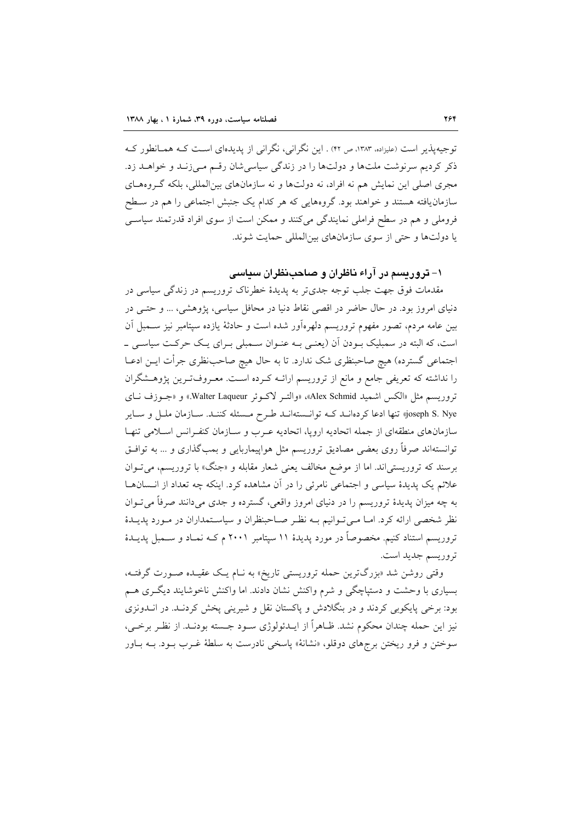توجیه پذیر است (علیزاده، ۱۳۸۳، ص ۴۲) . این نگرانی، نگرانی از پدیدهای است کـه همـانطور کـه ذکر کردیم سرنوشت ملتها و دولتها را در زندگی سیاسی شان رقسم مبی زنید و خواهید زد. مجری اصلی این نمایش هم نه افراد، نه دولتها و نه سازمانهای بینالمللی، بلکه گـروههـای سازمان یافته هستند و خواهند بود. گروههایی که هر کدام یک جنبش اجتماعی را هم در سطح فروملی و هم در سطح فراملی نمایندگی میکنند و ممکن است از سوی افراد قدرتمند سیاسی یا دولتها و حتی از سوی سازمانهای بین المللی حمایت شوند.

### ۱– تروریسم در آراء ناظران و صاحب نظران سیاسی

مقدمات فوق جهت جلب توجه جدیتر به پدیدهٔ خطرناک تروریسم در زندگی سیاسی در دنیای امروز بود. در حال حاضر در اقصی نقاط دنیا در محافل سیاسی، پژوهشی، ... و حتـی در بین عامه مردم، تصور مفهوم تروریسم دلهرهآور شده است و حادثهٔ یازده سپتامبر نیز ســمبل آن است، که البته در سمبلیک بـودن اّن (یعنـی بـه عنـوان سـمبلی بـرای یـک حرکـت سیاسـی ــ اجتماعی گسترده) هیچ صاحبنظری شک ندارد. تا به حال هیچ صاحبنظری جرأت ایــن ادعــا را نداشته که تعریفی جامع و مانع از تروریسم ارائـه کـرده اسـت. معـروفتـرین پژوهـشگران تروريسم مثل «الكس اشميد Alex Schmid»، «والتـر لاكـوئر Walter Laqueur» و «جـوزف نـاي joseph S. Nye!» تنها ادعا کردهانـد کـه توانـستهانـد طـرح مـسئله کننـد. سـازمان ملـل و سـاير سازمانهای منطقهای از جمله اتحادیه ارویا، اتحادیه عـرب و سـازمان کنفـرانس اسـلامی تنهـا توانستهاند صرفاً روی بعضی مصادیق تروریسم مثل هواپیماربایی و بمبگذاری و … به توافـق برسند که تروریستی اند. اما از موضع مخالف یعنی شعار مقابله و «جنگ» با تروریسم، می توان علائم یک پدیدهٔ سیاسی و اجتماعی نامرئی را در آن مشاهده کرد. اینکه چه تعداد از انـسانهـا به چه میزان پدیدهٔ تروریسم را در دنیای امروز واقعی، گسترده و جدی میدانند صرفاً می تـوان نظر شخصی ارائه کرد. امـا مـی تـوانیم بـه نظـر صـاحبنظران و سیاسـتمداران در مـورد پدیــدهٔ تروریسم استناد کنیم. مخصوصاً در مورد پدیدهٔ ۱۱ سپتامبر ۲۰۰۱ م کـه نمـاد و ســمبل پدیــدهٔ تروريسم جديد است.

وقتی روشن شد «بزرگترین حمله تروریستی تاریخ» به نـام یـک عقیـده صـورت گرفتـه، بسیاری با وحشت و دستپاچگی و شرم واکنش نشان دادند. اما واکنش ناخوشایند دیگـری هــم بود: برخی پایکوبی کردند و در بنگلادش و پاکستان نقل و شیرینی پخش کردنـد. در انــدونزی نيز اين حمله چندان محكوم نشد. ظـاهراً از ايــدئولوژي ســود جــسته بودنــد. از نظــر برخــي، سوختن و فرو ریختن برجهای دوقلو، «نشانهٔ» پاسخی نادرست به سلطهٔ غـرب بـود. بــه بــاور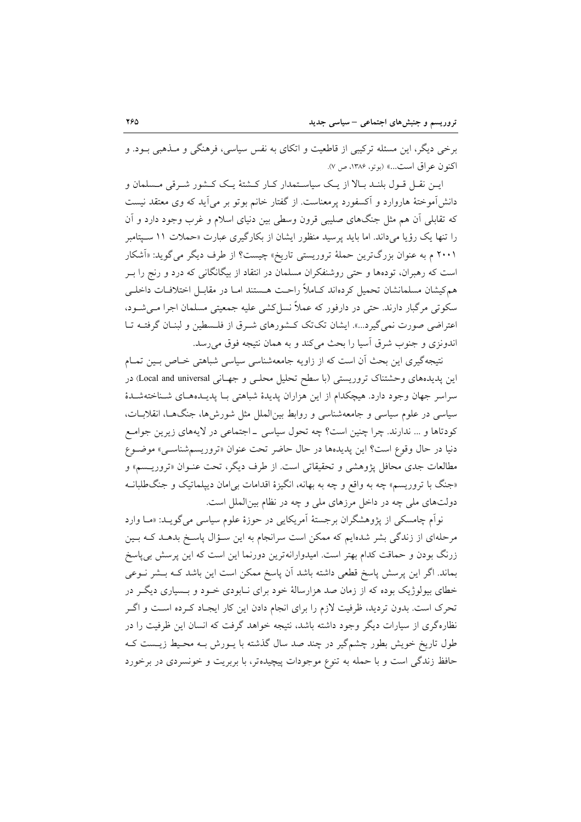برخی دیگر، این مسئله ترکیبی از قاطعیت و اتکای به نفس سیاسی، فرهنگی و مــذهبی بــود. و اكنون عراق است...» (بوتو، ١٣٨۶، ص ٧).

ايــن نقــل قــول بلنــد بــالا از يــك سياســتمدار كــار كــشتهٔ يــك كــشور شــرقى مــسلمان و دانشآموختهٔ هاروارد و آکسفورد پرمعناست. از گفتار خانم بوتو بر میآید که وی معتقد نیست که تقابلی آن هم مثل جنگهای صلیبی قرون وسطی بین دنیای اسلام و غرب وجود دارد و آن را تنها یک رؤیا میداند. اما باید پرسید منظور ایشان از بکارگیری عبارت «حملات ۱۱ سـپتامبر ۲۰۰۱ م به عنوان بزرگترین حملهٔ تروریستی تاریخ» چیست؟ از طرف دیگر می گوید: «اَشکار است که رهبران، تودهها و حتی روشنفکران مسلمان در انتقاد از بیگانگانی که درد و رنج را بـر هم کیشان مسلمانشان تحمیل کردهاند کـاملاً راحـت هـستند امـا در مقابـل اختلافـات داخلــی سکوتی مرگبار دارند. حتی در دارفور که عملاً نسل کشی علیه جمعیتی مسلمان اجرا مے شـود، اعتراضی صورت نمی گیرد...». ایشان تک تک کـشورهای شـرق از فلـسطین و لبنـان گرفتـه تـا اندونزی و جنوب شرق أسيا را بحث ميكند و به همان نتيجه فوق مي رسد.

نتیجهگیری این بحث آن است که از زاویه جامعهشناسی سیاسی شباهتی خـاص بـین تمـام این پدیدههای وحشتناک تروریستی (با سطح تحلیل محلبی و جهـانی Local and universal) در سراسر جهان وجود دارد. هیچکدام از این هزاران پدیدهٔ شباهتی بـا پدیـدههـای شـناختهشـدهٔ سیاسی در علوم سیاسی و جامعهشناسی و روابط بینالملل مثل شورش ها، جنگهـا، انقلابـات، كودتاها و ... ندارند. چرا چنین است؟ چه تحول سیاسی \_اجتماعی در لایههای زیرین جوامع دنيا در حال وقوع است؟ اين پديدهها در حال حاضر تحت عنوان «تروريسمشناسي» موضوع مطالعات جدی محافل پژوهشی و تحقیقاتی است. از طرف دیگر، تحت عنـوان «تروریــسم» و «جنگ با تروریسم» چه به واقع و چه به بهانه، انگیزهٔ اقدامات بی|مان دیپلماتیک و جنگطلبانــه دولتهای ملی چه در داخل مرزهای ملی و چه در نظام بین الملل است.

نواّم چامسکی از پژوهشگران برجستهٔ آمریکایی در حوزهٔ علوم سیاسی می گویـد: «مـا وارد مرحلهای از زندگی بشر شدهایم که ممکن است سرانجام به این سـؤال پاسـخ بدهـد کـه بـین زرنگ بودن و حماقت کدام بهتر است. امیدوارانهترین دورنما این است که این پرسش بی پاسخ بماند. اگر این پرسش پاسخ قطعی داشته باشد آن پاسخ ممکن است این باشد کـه بــشر نــوعی خطای بیولوژیک بوده که از زمان صد هزارسالهٔ خود برای نـابودی خـود و بــسیاری دیگـر در تحرک است. بدون تردید، ظرفیت لازم را برای انجام دادن این کار ایجـاد کـرده اسـت و اگـر نظارهگری از سیارات دیگر وجود داشته باشد، نتیجه خواهد گرفت که انسان این ظرفیت را در طول تاریخ خویش بطور چشمگیر در چند صد سال گذشته با پـورش بـه محـیط زیـست کـه حافظ زندگی است و با حمله به تنوع موجودات پیچیدهتر، با بربریت و خونسردی در برخورد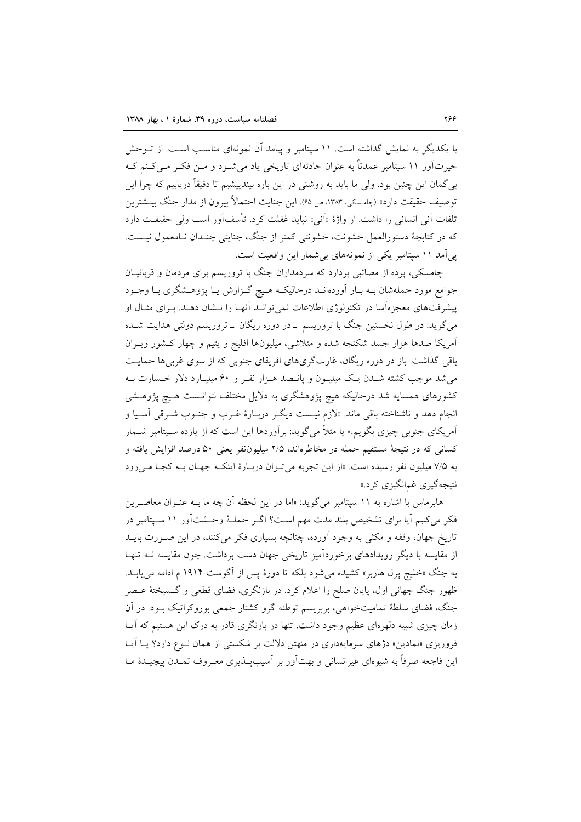با یکدیگر به نمایش گذاشته است. ۱۱ سپتامبر و پیامد آن نمونهای مناسب است. از تـوحش حیرتآور ۱۱ سپتامبر عمدتاً به عنوان حادثهای تاریخی یاد می شـود و مـن فکـر مـی کـنم کـه بی گمان این چنین بود. ولی ما باید به روشنی در این باره بیندییشیم تا دقیقاً دریابیم که چرا این توصيف حقيقت دارد» (چامسكي، ١٣٨٣، ص ۶۵). اين جنايت احتمالاً بيرون از مدار جنگ بيــشترين تلفات آنی انسانی را داشت. از واژهٔ «اَنی» نباید غفلت کرد. تأسفآور است ولی حقیقت دارد که در کتابچهٔ دستورالعمل خشونت، خشونتی کمتر از جنگ، جنایتی چنـدان نـامعمول نیـست. یی آمد ١١ سیتامبر یکی از نمونههای بی شمار این واقعیت است.

چامسکی، پرده از مصائبی بردارد که سردمداران جنگ با تروریسم برای مردمان و قربانیــان جوامع مورد حملهشان بــه بــار اَوردهانــد درحاليكــه هــيچ گــزارش يــا پژوهــشگرى بــا وجــود پیشرفتهای معجزهآسا در تکنولوژی اطلاعات نمی توانید آنهیا را نیشان دهید. بیرای مثبال او می گوید: در طول نخستین جنگ با تروریسم \_در دوره ریگان \_تروریسم دولتی هدایت شـده آمریکا صدها هزار جسد شکنجه شده و متلاشی، میلیونها افلیج و یتیم و چهار کشور ویـران باقی گذاشت. باز در دوره ریگان، غارتگریهای افریقای جنوبی که از سوی غربی ها حمایت می شد موجب کشته شـدن یـک میلیـون و پانـصد هـزار نفـر و ۶۰ میلیـارد دلار خـسارت بـه کشورهای همسایه شد درحالیکه هیچ پژوهشگری به دلایل مختلف نتوانـست هـیچ پژوهـشی انجام دهد و ناشناخته باقي ماند. «لازم نيـست ديگـر دربـارهٔ غـرب و جنـوب شـرقي آسـيا و آمریکای جنوبی چیزی بگویم.» یا مثلاً میگوید: برآوردها این است که از یازده سـپتامبر شــمار کسانی که در نتیجهٔ مستقیم حمله در مخاطرهاند، ۲/۵ میلیوننفر یعنی ۵۰ درصد افزایش یافته و به ۷/۵ میلیون نفر رسیده است. «از این تجربه می توان دربارهٔ اینکه جهان بـه کجـا مـ رود نتیجهگیری غم|نگیزی کرد.»

هابرماس با اشاره به ۱۱ سپتامبر میگوید: «اما در این لحظه آن چه ما بـه عنـوان معاصـرین فکر میکنیم آیا برای تشخیص بلند مدت مهم است؟ اگـر حملـهٔ وحـشتآور ١١ سـیتامبر در تاریخ جهان، وقفه و مکثی به وجود آورده، چنانچه بسیاری فکر میکنند، در این صـورت بایــد از مقایسه با دیگر رویدادهای برخوردآمیز تاریخی جهان دست برداشت. چون مقایسه نــه تنهـا به جنگ «خلیج پرل هاربر» کشیده می شود بلکه تا دورهٔ پس از آگوست ۱۹۱۴ م ادامه می پابـد. ظهور جنگ جهانی اول، پایان صلح را اعلام کرد. در بازنگری، فضای قطعی و گـسیختهٔ عـصر جنگ، فضای سلطهٔ تمامیتخواهی، بربریسم توطئه گرو کشتار جمعی بوروکراتیک بـود. در آن زمان چیزی شبیه دلهرمای عظیم وجود داشت. تنها در بازنگری قادر به درک این هستیم که آیــا فروریزی «نمادین» دژهای سرمایهداری در منهتن دلالت بر شکستی از همان نـوع دارد؟ یـا آیـا این فاجعه صرفاً به شیوهای غیرانسانی و بهتآور بر آسیبپذیری معـروف تمـدن پیچیـدهٔ مـا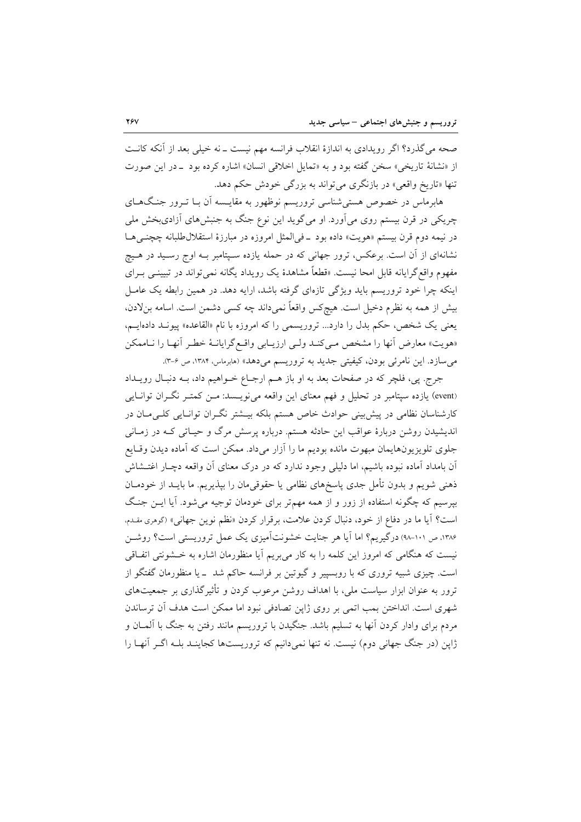صحه می گذرد؟ اگر رویدادی به اندازهٔ انقلاب فرانسه مهم نیست ـ نه خیلی بعد از آنکه کانــت از «نشانهٔ تاریخی» سخن گفته بود و به «تمایل اخلاقی انسان» اشاره کرده بود \_در این صورت تنها «تاریخ واقعی» در بازنگری می تواند به بزرگی خودش حکم دهد.

هابرماس در خصوص هستی شناسی تروریسم نوظهور به مقایـسه آن بـا تـرور جنـگ۱هـای چریکی در قرن بیستم روی میآورد. او میگوید این نوع جنگ به جنبشهای آزادیبخش ملی در نیمه دوم قرن بیستم «هویت» داده بود \_فی المثل امروزه در مبارزهٔ استقلال طلبانه چچنبی هـا نشانهای از آن است. برعکس، ترور جهانی که در حمله یازده سـیتامبر بـه اوج رسـید در هـیچ مفهوم واقع گرایانه قابل امحا نیست. «قطعاً مشاهدهٔ یک رویداد یگانه نمیتواند در تبیینــی بــرای اینکه چرا خود تروریسم باید ویژگی تازهای گرفته باشد، ارایه دهد. در همین رابطه یک عامـل بیش از همه به نظرم دخیل است. هیچکس واقعاً نمیداند چه کسی دشمن است. اسامه بنلادن، یعنی یک شخص، حکم بدل را دارد... تروریسمی را که امروزه با نام «القاعده» پیونـد دادهایـم، «هويت» معارض أنها را مشخص مـىكنـد ولـى ارزيـابى واقـع گرايانـهٔ خطـر أنهـا را نـاممكن می سازد. این نامرئی بودن، کیفیتی جدید به تروریسم می دهد» (هابرماس، ۱۳۸۴، ص ۶-۳).

جرج. پي، فلچر كه در صفحات بعد به او باز هـم ارجـاع خـواهيم داد، بـه دنبـال رويــداد (event) یازده سپتامبر در تحلیل و فهم معنای این واقعه می نویسد: مـن کمتـر نگـران توانـایـم کارشناسان نظامی در پیش بینی حوادث خاص هستم بلکه بیـشتر نگـران توانـایی کلـیمـان در اندیشیدن روشن دربارهٔ عواقب این حادثه هستم. درباره پرسش مرگ و حیـاتی کـه در زمـانی جلوی تلویزیونهایمان مبهوت مانده بودیم ما را آزار میداد. ممکن است که آماده دیدن وقایع آن بامداد آماده نبوده باشیم، اما دلیلی وجود ندارد که در درک معنای آن واقعه دچـار اغتــشاش ذهنی شویم و بدون تأمل جدی پاسخهای نظامی یا حقوقیمان را بپذیریم. ما بایــد از خودمــان بیرسیم که چگونه استفاده از زور و از همه مهم تر برای خودمان توجیه می شود. آیا ایــن جنـگ است؟ آيا ما در دفاع از خود، دنبال كردن علامت، برقرار كردن «نظم نوين جهاني» (گوهري مقدم، ۱۳۸۶، ص ۱۰۱-۹۸) درگیریم؟ اما آیا هر جنایت خشونتآمیزی یک عمل تروریستی است؟ روشـن نیست که هنگامی که امروز این کلمه را به کار می بریم آیا منظورمان اشاره به خــشونتی اتفـاقی است. چیزی شبیه تروری که با روبسییر و گیوتین بر فرانسه حاکم شد \_ یا منظورمان گفتگو از ترور به عنوان ابزار سیاست ملی، با اهداف روشن مرعوب کردن و تأثیر گذاری بر جمعیتهای شهري است. انداختن بمب اتمي بر روي ژاپن تصادفي نبود اما ممكن است هدف آن ترساندن مردم برای وادار کردن اّنها به تسلیم باشد. جنگیدن با تروریسم مانند رفتن به جنگ با اَلمــان و ژاپن (در جنگ جهانی دوم) نیست. نه تنها نمیدانیم که تروریستها کجاینـد بلـه اگـر آنهـا را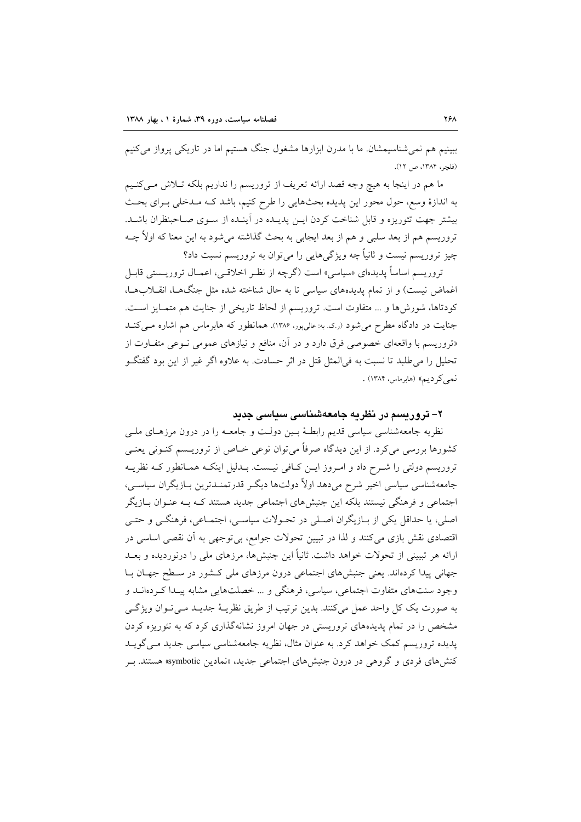ببینیم هم نمی شناسیمشان ما با مدرن ابزارها مشغول جنگ هستیم اما در تاریکی پرواز می کنیم (فلجر، ١٣٨۴، ص ١٢).

ما هم در اینجا به هیچ وجه قصد ارائه تعریف از تروریسم را نداریم بلکه تـلاش مـیکنـیم به اندازهٔ وسع، حول محور این پدیده بحثهایی را طرح کنیم، باشد کـه مـدخلی بـرای بحـث بیشتر جهت تئوریزه و قابل شناخت کردن ایــن پدیــده در آینــده از ســوی صــاحبنظران باشــد. تروریسم هم از بعد سلبی و هم از بعد ایجابی به بحث گذاشته میشود به این معنا که اولاً چــه چیز تروریسم نیست و ثانیاً چه ویژگیهایی را می توان به تروریسم نسبت داد؟

تروریسم اساساً پدیدهای «سیاسی» است (گرچه از نظـر اخلاقـی، اعمـال تروریــستی قابـل اغماض نیست) و از تمام پدیدههای سیاسی تا به حال شناخته شده مثل جنگها، انقلابها، كودتاها، شورشها و ... متفاوت است. تروريسم از لحاظ تاريخي از جنايت هم متمـايز اسـت. جنایت در دادگاه مطرح می شود (ر.ک. به: عالی پور، ۱۳۸۶). همانطور که هابر ماس هم اشاره مـی کنــد «تروریسم با واقعهای خصوصی فرق دارد و در آن، منافع و نیازهای عمومی نــوعی متفــاوت از تحلیل را می طلبد تا نسبت به فی المثل قتل در اثر حسادت. به علاوه اگر غیر از این بود گفتگـو نمي كرديم» (هابرماس، ١٣٨۴) .

#### ۲– تروریسم در نظریه جامعهشناسی سیاسی جدید

نظریه جامعهشناسی سیاسی قدیم رابطـهٔ بـین دولـت و جامعــه را در درون مرزهـای ملــی کشورها بررسی میکرد. از این دیدگاه صرفاً میتوان نوعی خـاص از تروریــسم کنــونی یعنــی تروریسم دولتی را شــرح داد و امــروز ایــن کــافی نیــست. بــدلیل اینکــه همــانطور کــه نظریــه جامعهشناسی سیاسی اخیر شرح میدهد اولاً دولتها دیگر قدرتمنـدترین بـازیگران سیاسـم ، اجتماعی و فرهنگی نیستند بلکه این جنبشهای اجتماعی جدید هستند کـه بـه عنـوان بــازیگر اصلي، يا حداقل يكي از بـازيگران اصـلي در تحـولات سياسـي، اجتمـاعي، فرهنگـي و حتـي اقتصادی نقش بازی میکنند و لذا در تبیین تحولات جوامع، بیتوجهی به آن نقصی اساسی در ارائه هر تبیینی از تحولات خواهد داشت. ثانیاً این جنبشها، مرزهای ملی را درنوردیده و بعــد جهانی پیدا کردهاند. یعنی جنبشهای اجتماعی درون مرزهای ملی کشور در سطح جهـان بـا وجود سنتهای متفاوت اجتماعی، سیاسی، فرهنگی و ... خصلتهایی مشابه پیـدا کـردهانـد و به صورت یک کل واحد عمل میکنند. بدین ترتیب از طریق نظریـهٔ جدیـد مـیتوان ویژگـی مشخص را در تمام پدیدههای تروریستی در جهان امروز نشانهگذاری کرد که به تئوریزه کردن پدیده تروریسم کمک خواهد کرد. به عنوان مثال، نظریه جامعهشناسی سیاسی جدید مـی گویــد کنش های فردی و گروهی در درون جنبش های اجتماعی جدید، «نمادین symbotic» هستند. بـر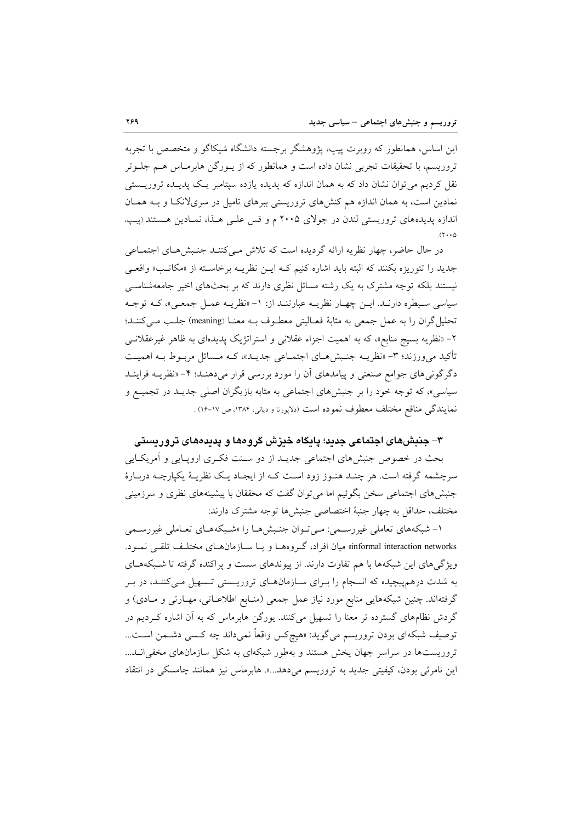این اساس، همانطور که روبرت پیپ، پژوهشگر برجسته دانشگاه شیکاگو و متخصص با تجربه تروریسم، با تحقیقات تجربی نشان داده است و همانطور که از پیورگن هابرمیاس هیم جلبوتر نقل کردیم می توان نشان داد که به همان اندازه که پدیده یازده سپتامبر یک پدیـده تروریــستی نمادین است، به همان اندازه هم کنشهای تروریستی ببرهای تامیل در سریلانکا و بـه همـان اندازه پدیدههای تروریستی لندن در جولای ۲۰۰۵ م و قس علـی هـذا، نمـادین هـستند (پیپ.  $(1 \cdot \cdot 0)$ 

در حال حاضر، چهار نظریه ارائه گردیده است که تلاش مـیکننـد جنـبش هـای اجتمـاعی جدید را تئوریزه بکنند که البته باید اشاره کنیم کـه ایــن نظریــه برخاســته از «مکاتـب» واقعــی نیستند بلکه توجه مشترک به یک رشته مسائل نظری دارند که بر بحثهای اخیر جامعهشناسی سیاسی سیطره دارنـد. ایـن چهـار نظریـه عبارتنـد از: ١- «نظریـه عمـل جمعـی»، کـه توجـه تحلیل گران را به عمل جمعی به مثابهٔ فعـالیتی معطـوف بـه معنـا (meaning) جلـب مـیکننـد؛ ۲– «نظریه بسیج منابع»، که به اهمیت اجزاء عقلانی و استراتژیک پدیدهای به ظاهر غیر عقلانــی تأکید می,ورزند؛ ۳- «نظریــه جنـبش۱صای اجتمــاعی جدیــد»، کــه مــسائل مربــوط بــه اهمیــت دگرگونی های جوامع صنعتی و پیامدهای آن را مورد بررسی قرار میدهنـد؛ ۴- «نظریــه فراینــد سیاسی»، که توجه خود را بر جنبشهای اجتماعی به مثابه بازیگران اصلی جدیـد در تجمیـع و نمايندگي منافع مختلف معطوف نموده است (دلاپورتا و دياني، ١٣٨۴، ص ١٧-١۶) .

#### ۳– جنبشهای اجتماعی جدید؛ پایگاه خیزش گروهها و پدیدههای تروریستی

بحث در خصوص جنبشهای اجتماعی جدیــد از دو ســنت فکـری اروپــایی و اَمریکــایی سرچشمه گرفته است. هر چنـد هنـوز زود اسـت کـه از ايجـاد يـک نظريـهٔ يکپارچـه دربـارهٔ جنبشهای اجتماعی سخن بگوئیم اما می توان گفت که محققان با پیشینههای نظری و سرزمینی مختلف، حداقل به چهار جنبهٔ اختصاصی جنبشها توجه مشترک دارند:

۱- شبکههای تعاملی غیررسمی: مبی تـوان جنـبش هـا را «شـبکههـای تعـاملی غیررسـمی informal interaction networks» میان افراد، گروهها و یا سازمانهای مختلف تلقی نمود. ویژگی های این شبکهها با هم تفاوت دارند. از پیوندهای سست و پراکنده گرفته تا شبکههـای به شدت درهم پیچیده که انسجام را بـرای سـازمانهـای تروریـستی تـسهیل مـی کننـد، در بـر گرفتهاند. چنین شبکههایی منابع مورد نیاز عمل جمعی (منـابع اطلاعـاتی، مهـارتی و مـادی) و گردش نظامهای گسترده تر معنا را تسهیل میکنند. یورگن هابرماس که به آن اشاره کـردیم در توصيف شبكهاي بودن تروريسم مي گويد: «هيچكس واقعاً نميداند چه كـسي دشـمن اسـت... تروریستها در سراسر جهان یخش هستند و بهطور شبکهای به شکل سازمانهای مخفی انـد... این نامرئی بودن، کیفیتی جدید به تروریسم میدهد...». هابرماس نیز همانند چامسکی در انتقاد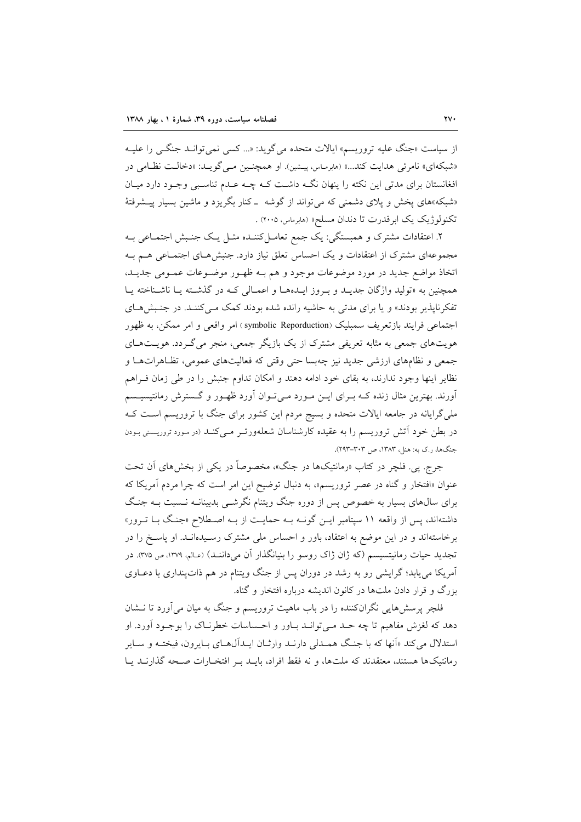از سیاست «جنگ علیه تروریسم» ایالات متحده میگوید: «... کسی نمی توانـد جنگــی را علیــه «شبکهای» نامرئی هدایت کند...» (هابرماس، پیشین). او همچنین مبی گوید: «دخالت نظامی در افغانستان برای مدتی این نکته را پنهان نگـه داشـت کـه چـه عـدم تناسـبی وجـود دارد میـان «شبکه»های پخش و پلای دشمنی که میتواند از گوشه ـ کنار بگریزد و ماشین بسیار پیــشرفتهٔ تکنولوژیک یک ابرقدرت تا دندان مسلح» (هابرماس، ۲۰۰۵) .

۲. اعتقادات مشترک و همبستگی: یک جمع تعامـلکننـده مثـل یـک جنـبش اجتمـاعی بـه مجموعهای مشترک از اعتقادات و یک احساس تعلق نیاز دارد. جنبشهای اجتمـاعی هـم بـه اتخاذ مواضع جديد در مورد موضوعات موجود و هم بـه ظهـور موضـوعات عمـومى جديـد. همچنین به «تولید واژگان جدیـد و بـروز ایـدههـا و اعمـالی کـه در گذشـته یـا ناشـناخته یـا تفکرناپذیر بودند» و یا برای مدتی به حاشیه رانده شده بودند کمک مـیکننـد. در جنـبشهـای اجتماعي فرايند بازتعريف سمبليک (symbolic Reporduction) امر واقعي و امر ممکن، به ظهور هویتهای جمعی به مثابه تعریفی مشترک از یک بازیگر جمعی، منجر می گـردد. هویــتهـای جمعی و نظامهای ارزشی جدید نیز چهبسا حتی وقتی که فعالیتهای عمومی، تظاهراتها و نظایر اینها وجود ندارند، به بقای خود ادامه دهند و امکان تداوم جنبش را در طی زمان فـراهم آورند. بهترین مثال زنده کـه بــرای ایــن مــورد مــیتــوان آورد ظهــور و گــسترش رمانتیسیــسم ملی گرایانه در جامعه ایالات متحده و بسیج مردم این کشور برای جنگ با تروریسم است ک در بطن خود آتش تروریسم را به عقیده کارشناسان شعلهورتـر مـیکنـد (در مـورد تروریـستی بـودن جنگها، رک به: هنل، ۱۳۸۳، ص ۳۰۳–۲۹۳).

جرج. پي. فلچر در کتاب «رمانتيکها در جنگ»، مخصوصاً در يکي از بخشهاي آن تحت عنوان «افتخار و گناه در عصر تروریسم»، به دنبال توضیح این امر است که چرا مردم آمریکا که برای سال،های بسیار به خصوص پس از دوره جنگ ویتنام نگرشــی بدبینانــه نــسبت بــه جنـگ داشتهاند، پس از واقعه ۱۱ سپتامبر ایــن گونــه بــه حمایــت از بــه اصــطلاح «جنـگ بــا تــرور» برخاستهاند و در این موضع به اعتقاد، باور و احساس ملی مشترک رسـیدهانـد. او پاسـخ را در تجدید حیات رمانیتسیسم (که ژان ژاک روسو را بنیانگذار آن میداننـد) (عـالم، ۱۳۷۹، ص ۳۷۵). در آمریکا می یابد؛ گرایشی رو به رشد در دوران پس از جنگ ویتنام در هم ذات پنداری با دعباوی بزرگ و قرار دادن ملتها در کانون اندیشه درباره افتخار و گناه.

فلچر پرسشهایی نگرانکننده را در باب ماهیت تروریسم و جنگ به میان میآورد تا نــشان دهد که لغزش مفاهیم تا چه حـد مـی توانـد بـاور و احـساسات خطرنـاک را بوجـود آورد. او استدلال م<sub>ه</sub> کند «اَنها که با جنگ همـدلی دارنـد وارثـان ایـدالهـای بـایرون، فیختـه و سـایر رمانتیکها هستند، معتقدند که ملتها، و نه فقط افراد، بایــد بــر افتخــارات صــحه گذارنــد یــا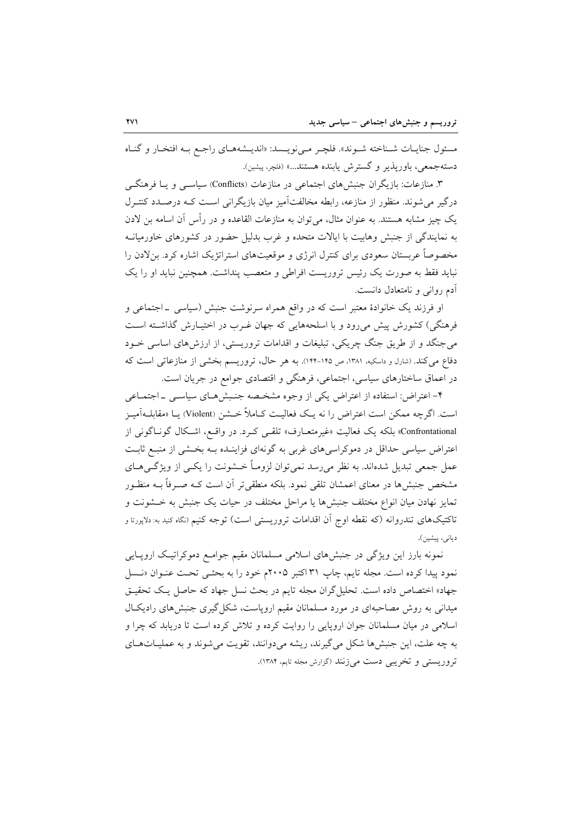مسئول جنايـات شـناخته شـوند». فلچـر مـى نويـسد: «انديـشههـاي راجـع بـه افتخـار و گنـاه دستهجمعي، باوريذير و گسترش پابنده هستند...» (فلچر، پيشين).

۳. منازعات: بازیگران جنبشهای اجتماعی در منازعات (Conflicts) سیاســی و یــا فرهنگــی درگیر می شوند. منظور از منازعه، رابطه مخالفتآمیز میان بازیگرانی است کـه درصـدد کنتـرل یک چیز مشابه هستند. به عنوان مثال، می توان به منازعات القاعده و در رأس آن اسامه بن لادن به نمایندگی از جنبش وهابیت با ایالات متحده و غرب بدلیل حضور در کشورهای خاورمیانـه مخصوصاً عربستان سعودی برای کنترل انرژی و موقعیتهای استراتژیک اشاره کرد. بنلادن را نباید فقط به صورت یک رئیس تروریست افراطی و متعصب پنداشت. همچنین نباید او را یک آدم رواني و نامتعادل دانست.

او فرزند یک خانوادهٔ معتبر است که در واقع همراه سرنوشت جنبش (سیاسی \_اجتماعی و فرهنگی) کشورش پیش میرود و با اسلحههایی که جهان غـرب در اختیـارش گذاشـته اسـت می جنگد و از طریق جنگ چریکی، تبلیغات و اقدامات تروریستی، از ارزش های اساسی خــود دفاع می کند. (شارل و داسکیه، ۱۳۸۱، ص ۱۴۵-۱۴۴). به هر حال، تروریسم بخشی از منازعاتی است که در اعماق ساختارهای سیاسی، اجتماعی، فرهنگی و اقتصادی جوامع در جریان است.

۴– اعتراض: استفاده از اعتراض یکی از وجوه مشخـصه جنـبش۱صی سیاسـی ـ اجتمـاعی است. اگرچه ممکن است اعتراض را نه یـک فعالیـت کـاملاً خــشن (Violent) یــا «مقابلــهآمیـز Confrontational» بلکه یک فعالیت «غیرمتعـارف» تلقـی کـرد. در واقـع، اشـکال گونـاگونی از اعتراض سیاسی حداقل در دموکراسی های غربی به گونهای فزاینـده بـه بخـشی از منبـع ثابـت عمل جمعي تبديل شدهاند. به نظر مي رسد نمي توان لزومـاً خــشونت را يكــي از ويژگــيهــاي مشخص جنبشها در معنای اعمشان تلقی نمود. بلکه منطقیتر آن است کـه صـرفاً بــه منظـور تمایز نهادن میان انواع مختلف جنبشها یا مراحل مختلف در حیات یک جنبش به خــشونت و تاکتیکهای تندروانه (که نقطه اوج آن اقدامات تروریستی است) توجه کنیم (نگاه کنید به: دلاپورتا و ديانى، ييشين).

نمونه بارز این ویژگی در جنبشهای اسلامی مسلمانان مقیم جوامع دموکراتیک اروپایی نمود پیدا کرده است. مجله تایم، چاپ ۳۱ اکتبر ۲۰۰۵م خود را به بحثـی تحـت عنـوان «نـسل جهاد» اختصاص داده است. تحلیل گران مجله تایم در بحث نسل جهاد که حاصل یک تحقیـق میدانی به روش مصاحبهای در مورد مسلمانان مقیم اروپاست، شکل گیری جنبش های رادیک ال اسلامی در میان مسلمانان جوان اروپایی را روایت کرده و تلاش کرده است تا دریابد که چرا و به چه علت، این جنبش ها شکل می گیرند، ریشه می دوانند، تقویت می شوند و به عملیـاتهـای تروریستی و تخریبی دست می زنند (گزارش مجله تایم، ۱۳۸۴).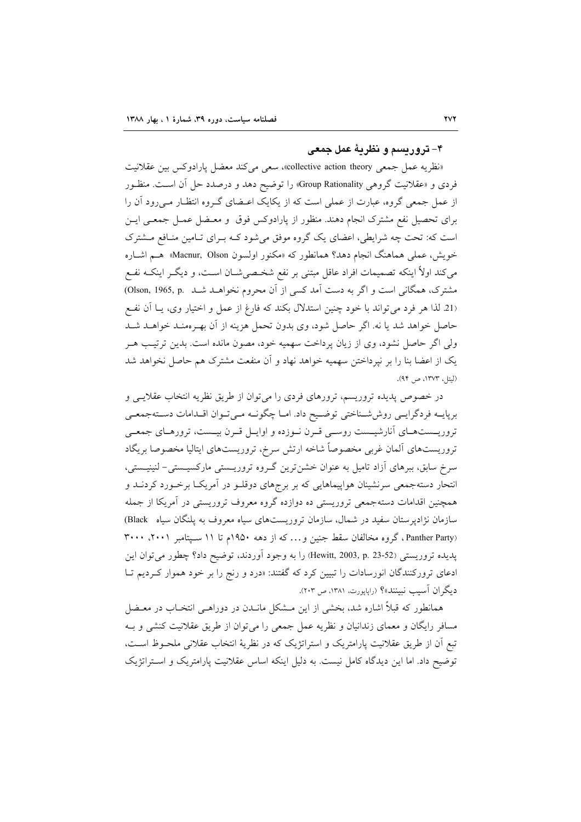#### ۴– تروریسم و نظریهٔ عمل جمعی

«نظريه عمل جمعي collective action theory»، سعى مي كند معضل پارادوكس بين عقلانيت فردی و «عقلانیت گروهی Group Rationality» را توضیح دهد و درصدد حل أن است. منظـور از عمل جمعی گروه، عبارت از عملی است که از یکایک اعـضای گـروه انتظـار مـیرود آن را برای تحصیل نفع مشترک انجام دهند. منظور از پارادوکس فوق و معـضل عمـل جمعـی ایـن است که: تحت چه شرایطی، اعضای یک گروه موفق می شود کـه بـرای تـامین منـافع مـشترک خويش، عملي هماهنگ انجام دهد؟ همانطور كه «مكنور اولسون Macnur, Olson» هـم اشـاره میکند اولاً اینکه تصمیمات افراد عاقل مبتنی بر نفع شخـصیشــان اســت، و دیگــر اینکــه نفــع مشترک، همگانی است و اگر به دست آمد کسی از آن محروم نخواهـد شـد .Olson, 1965, p (21 لذا هر فرد می تواند با خود چنین استدلال بکند که فارغ از عمل و اختیار وی، یـا آن نفـع حاصل خواهد شد يا نه. اگر حاصل شود، وي بدون تحمل هزينه از آن بهـرهمنـد خواهـد شـد ولی اگر حاصل نشود، وی از زیان پرداخت سهمیه خود، مصون مانده است. بدین ترتیب هـر یک از اعضا بنا را بر نیرداختن سهمیه خواهد نهاد و آن منفعت مشترک هم حاصل نخواهد شد (ليتل، ١٣٧٣، ص ٩۴).

در خصوص پدیده تروریسم، ترورهای فردی را میتوان از طریق نظریه انتخاب عقلایـی و بريايـه فردگرايـي روششـناختي توضـيح داد. امـا چگونــه مـي تـوان اقــدامات دسـتهجمعـي تروریستهای آنارشیست روسی قرن نوزده و اوایل قرن بیست، ترورهای جمعی تروريستهاى ألمان غربى مخصوصاً شاخه ارتش سرخ، تروريستهاى ايتاليا مخصوصا بريگاد سرخ سابق، ببرهای آزاد تامیل به عنوان خشنترین گروه تروریستی مارکسیستی- لنینیستی، انتحار دستهجمعی سرنشینان هواپیماهایی که بر برجهای دوقلـو در آمریکـا برخـورد کردنـد و همچنین اقدامات دستهجمعی تروریستی ده دوازده گروه معروف تروریستی در آمریکا از جمله سازمان نژادپرستان سفید در شمال، سازمان تروریستهای سیاه معروف به پلنگان سیاه Black) (Panther Party، گروه مخالفان سقط جنین و ... که از دهه ۱۹۵۰م تا ۱۱ سـیتامبر ۲۰۰۱، ۳۰۰۰ يديده تروريستي (23-23 ,p. 23-52) برا به وجود آوردند، توضيح داد؟ چطور مي توان اين ادعای ترورکنندگان انورسادات را تبیین کرد که گفتند: «درد و رنج را بر خود هموار کـردیم تـا دیگران اَسیب نبینند»؟ (راپاپورت، ۱۳۸۱، ص ۲۰۳).

همانطور که قبلاً اشاره شد، بخشی از این مــشکل مانــدن در دوراهــی انتخــاب در معــضل مسافر رایگان و معمای زندانیان و نظریه عمل جمعی را می توان از طریق عقلانیت کنشی و بـه تبع أن از طريق عقلانيت پارامتريک و استراتژيک که در نظريهٔ انتخاب عقلاني ملحـوظ اسـت، توضیح داد. اما این دیدگاه کامل نیست. به دلیل اینکه اساس عقلانیت پارامتریک و استراتژیک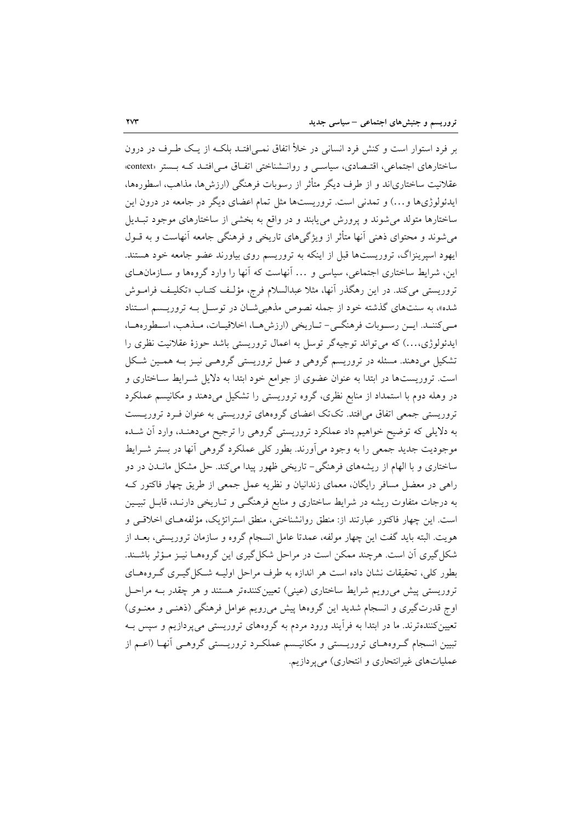بر فرد استوار است و کنش فرد انسانی در خلأ اتفاق نمـی|فتـد بلکـه از یـک طـرف در درون ساختارهای اجتماعی، اقتـصادی، سیاسـی و روانـشناختی اتفـاق مـی|فتـد کـه بـستر «context» عقلانیت ساختاریاند و از طرف دیگر متأثر از رسوبات فرهنگی (ارزشها، مذاهب، اسطورهها، ایدئولوژیها و…) و تمدنی است. تروریستها مثل تمام اعضای دیگر در جامعه در درون این ساختارها متولد می شوند و پرورش می یابند و در واقع به بخشی از ساختارهای موجود تبـدیل میشوند و محتوای ذهنی آنها متأثر از ویژگیهای تاریخی و فرهنگی جامعه آنهاست و به قــول ایهود اسپرینزاگ، تروریستها قبل از اینکه به تروریسم روی بیاورند عضو جامعه خود هستند. این، شرایط ساختاری اجتماعی، سیاسی و … آنهاست که آنها را وارد گروهها و سـازمانهـای تروریستی می کند. در این رهگذر آنها، مثلا عبدالسلام فرج، مؤلـف کتــاب «تکلیـف فرامــوش شده»، به سنتهای گذشته خود از جمله نصوص مذهبی شان در توسـل بـه تروریـسم اسـتناد مبي كننــد. ايــن رســوبات فرهنگــي- تــاريخي (ارزش هــا، اخلاقيــات، مــذهب، اســطورههــا، ایدئولوژی،…) که می تواند توجیهگر توسل به اعمال تروریستی باشد حوزهٔ عقلانیت نظری را تشکیل میدهند. مسئله در تروریسم گروهی و عمل تروریستی گروهـی نیـز بـه همـین شـکل است. تروریستها در ابتدا به عنوان عضوی از جوامع خود ابتدا به دلایل شـرایط سـاختاری و در وهله دوم با استمداد از منابع نظری، گروه تروریستی را تشکیل میدهند و مکانیسم عملکرد تروریستی جمعی اتفاق می افتد. تک تک اعضای گروههای تروریستی به عنوان فـرد تروریـست به دلایلی که توضیح خواهیم داد عملکرد تروریستی گروهی را ترجیح میدهنـد، وارد آن شـده موجودیت جدید جمعی را به وجود میآورند. بطور کلی عملکرد گروهی آنها در بستر شــرایط ساختاری و با الهام از ریشههای فرهنگی- تاریخی ظهور پیدا میکند. حل مشکل مانــدن در دو راهی در معضل مسافر رایگان، معمای زندانیان و نظریه عمل جمعی از طریق چهار فاکتور ک به درجات متفاوت ریشه در شرایط ساختاری و منابع فرهنگی و تـاریخی دارنـد، قابـل تبیـین است. این چهار فاکتور عبارتند از: منطق روانشناختی، منطق استراتژیک، مؤلفههـای اخلاقـی و هويت. البته بايد گفت اين چهار مولفه، عمدتا عامل انسجام گروه و سازمان تروريستي، بعــد از شکل گیری آن است. هرچند ممکن است در مراحل شکل گیری این گروههـا نیــز مــؤثر باشــند. بطور کلی، تحقیقات نشان داده است هر اندازه به طرف مراحل اولیــه شـکل گیــری گــروههــای تروریستی پیش می رویم شرایط ساختاری (عینی) تعیین کنندهتر هستند و هر چقدر بـه مراحـل اوج قدرت گیری و انسجام شدید این گروهها پیش میرویم عوامل فرهنگی (ذهنبی و معنـوی) تعیین کنندهترند. ما در ابتدا به فرآیند ورود مردم به گروههای تروریستی میپردازیم و سپس بـه تبیین انسجام گـروههـای تروریــستی و مکانیــسم عملکـرد تروریــستی گروهـی آنهـا (اعــم از عملیاتهای غیرانتحاری و انتحاری) میپردازیم.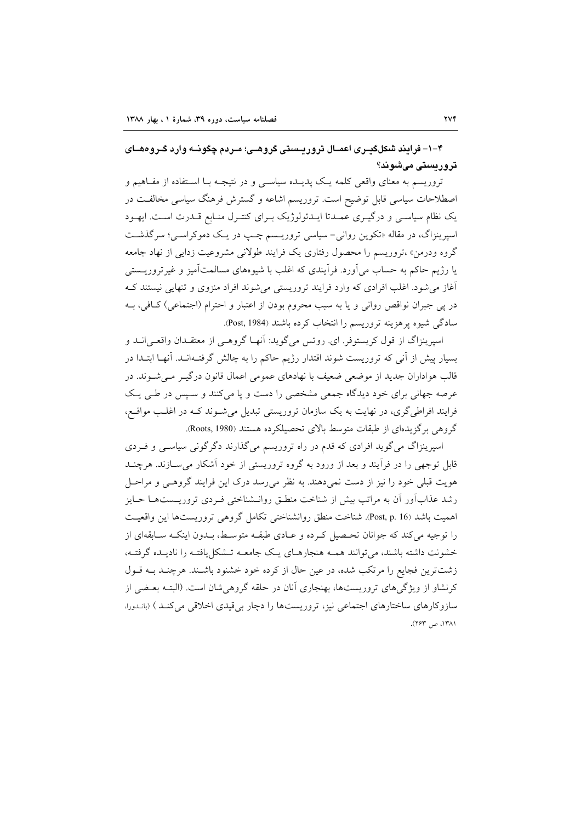۴–۱– فرایند شکلگیـری اعمـال تروریـستی گروهـی؛ مـردم چگونــه وارد گـروههـای تروریستی میشوند؟

تروریسم به معنای واقعی کلمه یک پدیـده سیاسـی و در نتیجـه بـا اسـتفاده از مفـاهیم و اصطلاحات سیاسی قابل توضیح است. تروریسم اشاعه و گسترش فرهنگ سیاسی مخالفت در یک نظام سیاسی و درگیـری عمـدتا ایـدئولوژیک بـرای کنتـرل منـابع قـدرت اسـت. ایهـود اسپرینزاگ، در مقاله «تکوین روانی- سیاسی تروریـسم چـپ در یـک دموکراسـی؛ سرگذشـت گروه ودرمن» ،تروریسم را محصول رفتاری یک فرایند طولانی مشروعیت زدایی از نهاد جامعه یا رژیم حاکم به حساب میآورد. فرآیندی که اغلب با شیوههای مسالمتآمیز و غیرتروریــستی آغاز می شود. اغلب افرادی که وارد فرایند تروریستی می شوند افراد منزوی و تنهایی نیستند ک در پي جبران نواقص رواني و يا به سبب محروم بودن از اعتبار و احترام (اجتماعي) كـافي، بـه سادگی شیوه پرهزینه تروریسم را انتخاب کرده باشند (Post, 1984).

اسپرینزاگ از قول کریستوفر. ای. روتس میگوید: آنهـا گروهـی از معتقـدان واقعـی|نــد و بسیار پیش از آنی که تروریست شوند اقتدار رژیم حاکم را به چالش گرفت1انـد. آنهـا ابتـدا در قالب هواداران جدید از موضعی ضعیف با نهادهای عمومی اعمال قانون درگیـر مـی شـوند. در عرصه جهانی برای خود دیدگاه جمعی مشخصی را دست و یا میکنند و سپس در طبی یک فرایند افراطی گری، در نهایت به یک سازمان تروریستی تبدیل میشوند کـه در اغلـب مواقـع، گروهی برگزیدهای از طبقات متوسط بالای تحصیلکرده هستند (Roots, 1980).

اسپرینزاگ می گوید افرادی که قدم در راه تروریسم می گذارند دگرگونی سیاسبی و فـردی قابل توجهی را در فرأیند و بعد از ورود به گروه تروریستی از خود آشکار می سـازند. هرچنــد هویت قبلی خود را نیز از دست نمی دهند. به نظر می رسد درک این فرایند گروهـی و مراحـل رشد عذابآور آن به مراتب بیش از شناخت منطـق روانــشناختی فــردی تروریــستهــا حــایز اهميت باشد (Post, p. 16). شناخت منطق روانشناختي تكامل گروهي تروريستها اين واقعيت را توجیه میکند که جوانان تحـصیل کـرده و عـادی طبقــه متوســط، بــدون اینکــه ســابقهای از خشونت داشته باشند، می توانند همـه هنجارهـای یـک جامعـه تـشکل یافتـه را نادیـده گرفتـه، زشتترین فجایع را مرتکب شده، در عین حال از کرده خود خشنود باشـند. هرچنـد بـه قـول کرنشاو از ویژگیهای تروریستها، بهنجاری آنان در حلقه گروهی شان است. (البتـه بعـضی از سازوکارهای ساختارهای اجتماعی نیز، تروریستها را دچار بی قیدی اخلاقی می کنـد ) (بانـدورا، ١٣٨١، ص ٢۶٣).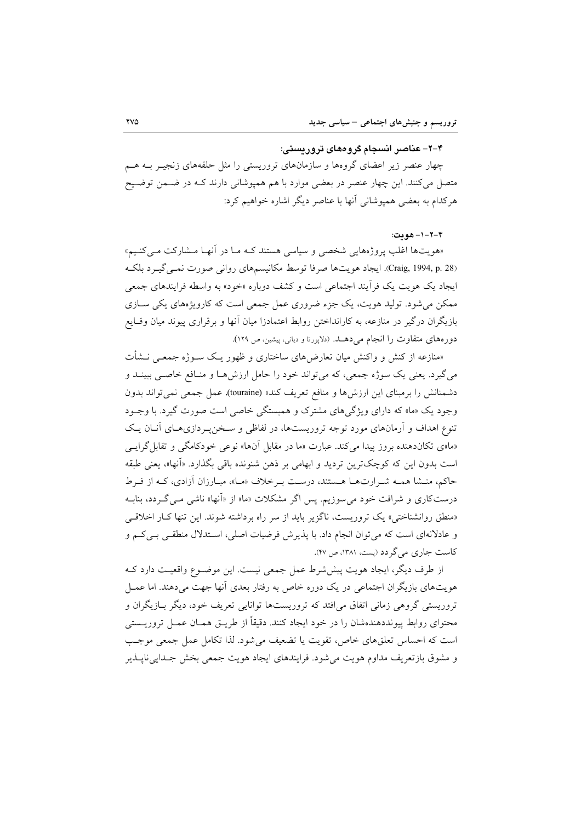#### ۴–۲–عناصر انسجام گروههای تروریستی:

چهار عنصر زیر اعضای گروهها و سازمانهای تروریستی را مثل حلقههای زنجیـر بــه هــم متصل میکنند. این چهار عنصر در بعضی موارد با هم همپوشانی دارند کـه در ضــمن توضــیح هرکدام به بعضی همیوشانی آنها با عناصر دیگر اشاره خواهیم کرد:

۴-۲-۱- هومت:

«هويتها اغلب يروژههايي شخصي و سياسي هستند كـه مـا در آنهـا مـشاركت مـي كنـيم» (Craig, 1994, p. 28). ايجاد هويتها صرفا توسط مكانيسمهاي رواني صورت نمبي گيـرد بلكـه ایجاد یک هویت یک فرأیند اجتماعی است و کشف دوباره «خود» به واسطه فرایندهای جمعی ممکن می شود. تولید هویت، یک جزء ضروری عمل جمعی است که کارویژههای یکی ســازی بازیگران درگیر در منازعه، به کارانداختن روابط اعتمادزا میان آنها و برقراری پیوند میان وقـایع دورههای متفاوت را انجام می دهـد. (دلایورتا و دیانی، پیشین، ص ۱۲۹).

«منازعه از کنش و واکنش میان تعارضهای ساختاری و ظهور یـک ســوژه جمعــی نــشأت مي گيرد. يعني يک سوژه جمعي، که مي تواند خود را حامل ارزش هـا و منـافع خاصـي ببينــد و دشمنانش را برمبنای این ارزشها و منافع تعریف کند» (touraine). عمل جمعی نمی تواند بدون وجود یک «ما» که دارای ویژگیهای مشترک و همبستگی خاصی است صورت گیرد. با وجـود تنوع اهداف و آرمانهای مورد توجه تروریستها، در لفاظی و سـخنپـردازیهـای آنـان یـک «ما»ی تکاندهنده بروز پیدا می کند. عبارت «ما در مقابل آنها» نوعی خودکامگی و تقابل گرایسی است بدون این که کوچکترین تردید و ابهامی بر ذهن شنونده باقی بگذارد. «آنها»، یعنی طبقه حاكم، منـشا همـه شـرارتهـا هـستند، درسـت بـرخلاف «مـا»، مبـارزان أزادي، كـه از فـرط درستکاری و شرافت خود می سوزیم. پس اگر مشکلات «ما» از «آنها» ناشی مـی گــردد، بنابــه «منطق روانشناختی» یک تروریست، ناگزیر باید از سر راه برداشته شوند. این تنها کار اخلاقی و عادلانهای است که میتوان انجام داد. با پذیرش فرضیات اصلی، اسـتدلال منطقـی بـیکـم و کاست جاری می گر دد (پست، ۱۳۸۱، ص ۴۷).

از طرف دیگر، ایجاد هویت پیششرط عمل جمعی نیست. این موضـوع واقعیـت دارد کـه هویتهای بازیگران اجتماعی در یک دوره خاص به رفتار بعدی آنها جهت میدهند. اما عمــل تروریستی گروهی زمانی اتفاق می افتد که تروریستها توانایی تعریف خود، دیگر بیازیگران و محتوای روابط پیونددهندهشان را در خود ایجاد کنند. دقیقاً از طریــق همــان عمــل تروریــستی است كه احساس تعلقهاى خاص، تقويت يا تضعيف مى شود. لذا تكامل عمل جمعى موجب و مشوق بازتعریف مداوم هویت می شود. فرایندهای ایجاد هویت جمعی بخش جـدایی ناپــذیر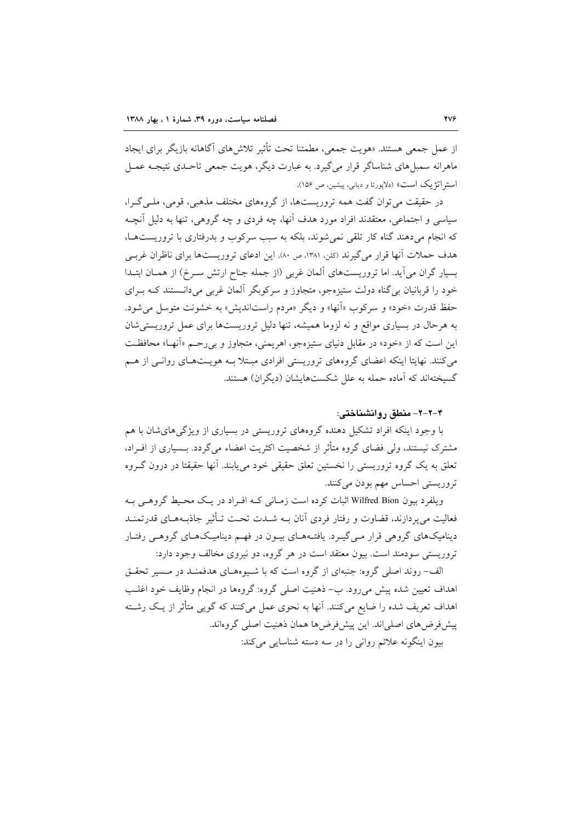از عمل جمعی هستند. «هویت جمعی، مطمئنا تحت تأثیر تلاش های آگاهانه بازیگر برای ایجاد ماهرانه سمبلهای شناساگر قرار می گیرد. به عبارت دیگر، هویت جمعی تاحـدی نتیجـه عمـل استر اتژ یک است» (دلاپورتا و دیانی، پیشین، ص ۱۵۶).

در حقیقت می توان گفت همه تروریستها، از گروههای مختلف مذهبی، قومی، ملبی گـرا، سیاسی و اجتماعی، معتقدند افراد مورد هدف اّنها، چه فردی و چه گروهی، تنها به دلیل اَنچـه که انجام می دهند گناه کار تلقی نمی شوند، بلکه به سبب سرکوب و بدرفتاری با تروریستها، هدف حملات آنها قرار می گیرند (کلن ۱۳۸۱، ص ۸۰). این ادعای تروریستها برای ناظران غربے بسیار گران می آید. اما تروریستهای آلمان غربی (از جمله جناح ارتش سـرخ) از همـان ابتـدا خود را قربانیان بی گناه دولت ستیزهجو، متجاوز و سرکوبگر آلمان غربی میدانستند کـه بـرای حفظ قدرت «خود» و سركوب «آنها» و ديگر «مردم راستانديش» به خشونت متوسل مي شود. به هرحال در بسیاری مواقع و نه لزوما همیشه، تنها دلیل تروریستها برای عمل تروریستی شان این است که از «خود» در مقابل دنیای ستیزهجو، اهریمنی، متجاوز و بررحـم «أنهـا» محافظـت می کنند. نهایتا اینکه اعضای گروههای تروریستی افرادی مبتلا بـه هویـتهـای روانـی از هـم گسیختهاند که آماده حمله به علل شکستهایشان (دیگران) هستند.

#### ۴-۲-۲- منطق , و انشناختی:

با وجود اینکه افراد تشکیل دهنده گروههای تروریستی در بسیاری از ویژگیهای شان با هم مشترک نیستند، ولی فضای گروه متأثر از شخصیت اکثریت اعضاء می گردد. بــسیاری از افــراد، تعلق به یک گروه تروریستی را نخستین تعلق حقیقی خود می یابند. آنها حقیقتا در درون گـروه تروریستی احساس مهم بودن میکنند.

ویلفرد بیون Wilfred Bion اثبات کرده است زمـانی کـه افـراد در یـک محـیط گروهـی بـه فعالیت می پردازند، قضاوت و رفتار فردی آنان بـه شــدت تحـت تــأثیر جاذبــههــای قدرتمنــد دینامیکهای گروهی قرار مـی گیـرد. یافتـههـای بیـون در فهـم دینامیـکهـای گروهـی رفتـار تروریستی سودمند است. بیون معتقد است در هر گروه، دو نیروی مخالف وجود دارد:

الف- روند اصلی گروه: جنبهای از گروه است که با شـبوههـای هدفمنـد در مـسیر تحقـق اهداف تعیین شده پیش می رود. ب- ذهنیت اصلی گروه: گروهها در انجام وظایف خود اغلب اهداف تعریف شده را ضایع میکنند. آنها به نحوی عمل میکنند که گویی متأثر از یک رشـته پیش فرضهای اصلیاند. این پیش فرضها همان ذهنیت اصلی گروهاند. بيون اينگونه علائم رواني را در سه دسته شناسايي مي كند: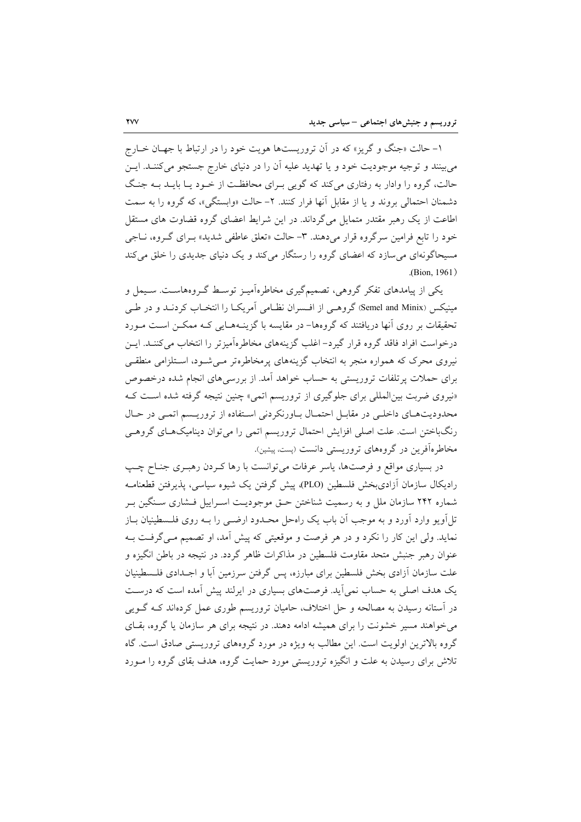۱- حالت «جنگ و گریز» که در آن تروریستها هویت خود را در ارتباط با جهـان خــارج می بینند و توجیه موجودیت خود و یا تهدید علیه آن را در دنیای خارج جستجو می کننــد. ایــن حالت، گروه را وادار به رفتاری میکند که گویی بـرای محافظـت از خـود یـا بایــد بــه جنـگ دشمنان احتمالي بروند و يا از مقابل آنها فرار كنند. ٢- حالت «وابستگي»، كه گروه را به سمت اطاعت از یک رهبر مقتدر متمایل می گرداند. در این شرایط اعضای گروه قضاوت های مستقل خود را تابع فرامین سرگروه قرار میدهند. ۳- حالت «تعلق عاطفی شدید» بـرای گـروه، نـاجی مسیحاگونهای می سازد که اعضای گروه را رستگار می کند و یک دنیای جدیدی را خلق می کند (Bion, 1961).

یکی از پیامدهای تفکر گروهی، تصمیمگیری مخاطرهآمیـز توسـط گـروههاسـت. سـیمل و مینیکس (Semel and Minix) گروهـی از افـسران نظـامی آمریکـا را انتخـاب کردنــد و در طــی تحقیقات بر روی آنها دریافتند که گروهها– در مقایسه با گزینـههـایی کـه ممکـن اسـت مـورد درخواست افراد فاقد گروه قرار گیرد- اغلب گزینههای مخاطرهآمیزتر را انتخاب می کننـد. ایــن نیروی محرک که همواره منجر به انتخاب گزینههای پرمخاطرهتر مـیشـود، اسـتلزامی منطقـی برای حملات پرتلفات تروریستی به حساب خواهد آمد. از بررسیهای انجام شده درخصوص «نیروی ضربت بین المللی برای جلوگیری از تروریسم اتمی» چنین نتیجه گرفته شده است ک محدودیتهای داخلی در مقابل احتمال باورنکردنی استفاده از تروریسم اتمی در حال رنگباختن است. علت اصلی افزایش احتمال تروریسم اتمی را می توان دینامیکهـای گروهـی مخاطرهآفرین در گروههای تروریستی دانست (پست، پیشین).

در بسیاری مواقع و فرصتها، پاسر عرفات می توانست با رها کـردن رهبـری جنـاح چـب رادیکال سازمان آزادیبخش فلسطین (PLO)، پیش گرفتن یک شیوه سیاسی، پذیرفتن قطعنامـه شماره ۲۴۲ سازمان ملل و به رسمیت شناختن حـق موجودیـت اسـراییل فـشاری سـنگین بـر تل اَویو وارد اَورد و به موجب اَن باب یک راهحل محـدود ارضـی را بـه روی فلـسطینیان بــاز نماید. ولی این کار را نکرد و در هر فرصت و موقعیتی که پیش آمد، او تصمیم مـیگرفـت بـه عنوان رهبر جنبش متحد مقاومت فلسطین در مذاکرات ظاهر گردد. در نتیجه در باطن انگیزه و علت سازمان آزادی بخش فلسطین برای مبارزه، پس گرفتن سرزمین آبا و اجــدادی فلــسطینیان یک هدف اصلی به حساب نمی آید. فرصتهای بسیاری در ایرلند پیش آمده است که درست در آستانه رسیدن به مصالحه و حل اختلاف، حامیان تروریسم طوری عمل کردهاند کـه گــویی می خواهند مسیر خشونت را برای همیشه ادامه دهند. در نتیجه برای هر سازمان یا گروه، بقـای گروه بالاترین اولویت است. این مطالب به ویژه در مورد گروههای تروریستی صادق است. گاه تلاش برای رسیدن به علت و انگیزه تروریستی مورد حمایت گروه، هدف بقای گروه را مـورد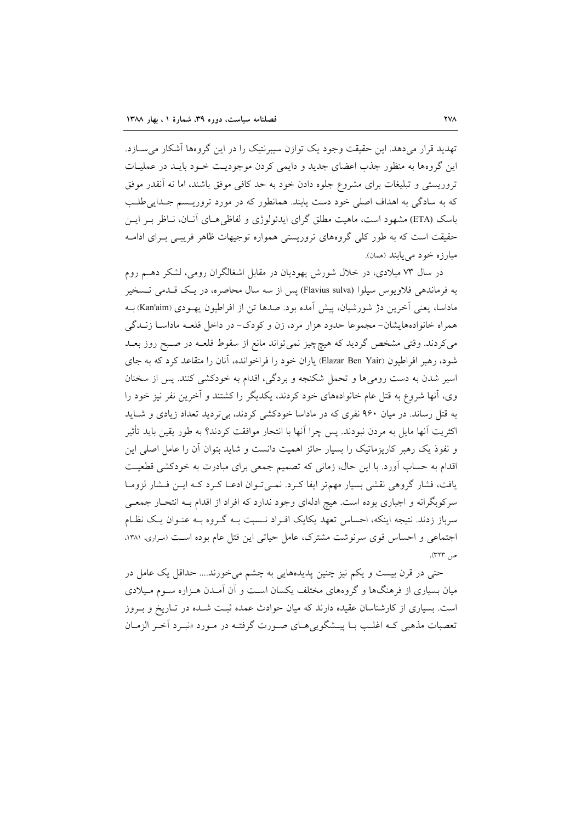تهدید قرار می دهد. این حقیقت وجود یک توازن سیبرنتیک را در این گروهها آشکار می ســازد. این گروهها به منظور جذب اعضای جدید و دایمی کردن موجودیت خـود بایـد در عملیـات تروریستی و تبلیغات برای مشروع جلوه دادن خود به حد کافی موفق باشند، اما نه آنقدر موفق که به سادگی به اهداف اصلی خود دست یابند. همانطور که در مورد تروریـسم جـدایی طلـب باسک (ETA) مشهود است، ماهیت مطلق گرای ایدئولوژی و لفاظی هــای آنــان، نــاظر بــر ایــن حقیقت است که به طور کلی گروههای تروریستی همواره توجیهات ظاهر فریببی بـرای ادامـه مبارزه خود مي يابند (همان).

در سال ۷۳ میلادی، در خلال شورش یهودیان در مقابل اشغالگران رومی، لشکر دهـم روم به فرماندهی فلاویوس سیلوا (Flavius sulva) پس از سه سال محاصره، در یک قـدمی تـسخیر ماداسا، يعني آخرين دژ شورشيان، پيش آمده بود. صدها تن از افراطيون يهـودي (Kan'aim) بـه همراه خانوادههایشان- مجموعا حدود هزار مرد، زن و کودک- در داخل قلعـه ماداسـا زنــدگی می کردند. وقتی مشخص گردید که هیچچیز نمی تواند مانع از سقوط قلعـه در صـبح روز بعــد شود، رهبر افراطیون (Elazar Ben Yair) یاران خود را فراخوانده، آنان را متقاعد کرد که به جای اسیر شدن به دست رومیها و تحمل شکنجه و بردگی، اقدام به خودکشی کنند. پس از سخنان وی، آنها شروع به قتل عام خانوادههای خود کردند، یکدیگر را کشتند و آخرین نفر نیز خود را به قتل رساند. در میان ۹۶۰ نفری که در ماداسا خودکشی کردند، بیتردید تعداد زیادی و شـاید اكثريت آنها مايل به مردن نبودند. پس چرا آنها با انتحار موافقت كردند؟ به طور يقين بايد تأثير و نفوذ یک رهبر کاریزماتیک را بسیار حائز اهمیت دانست و شاید بتوان آن را عامل اصلی این اقدام به حساب آورد. با این حال، زمانی که تصمیم جمعی برای مبادرت به خودکشی قطعیت یافت، فشار گروهی نقشی بسیار مهم تر ایفا کـرد. نمـیتوان ادعـا کـرد کـه ایـن فـشار لزومـا سرکوبگرانه و اجباری بوده است. هیچ ادلهای وجود ندارد که افراد از اقدام بـه انتحـار جمعـی سرباز زدند. نتیجه اینکه، احساس تعهد یکایک افـراد نـسبت بـه گـروه بـه عنـوان یـک نظـام اجتماعی و احساس قوی سرنوشت مشترک، عامل حیاتی این قتل عام بوده است (سراری، ۱۳۸۱، ص ۳۲۳).

حتی در قرن بیست و یکم نیز چنین پدیدههایی به چشم می خورند.... حداقل یک عامل در میان بسیاری از فرهنگها و گروههای مختلف یکسان است و آن آمـدن هـزاره سـوم مـیلادی است. بسیاری از کارشناسان عقیده دارند که میان حوادث عمده ثبت شـده در تـاریخ و بـروز تعصبات مذهبي كـه اغلـب بــا پيـــشگويي هــاي صــورت گرفتــه در مــورد «نبــرد أخــر الزمــان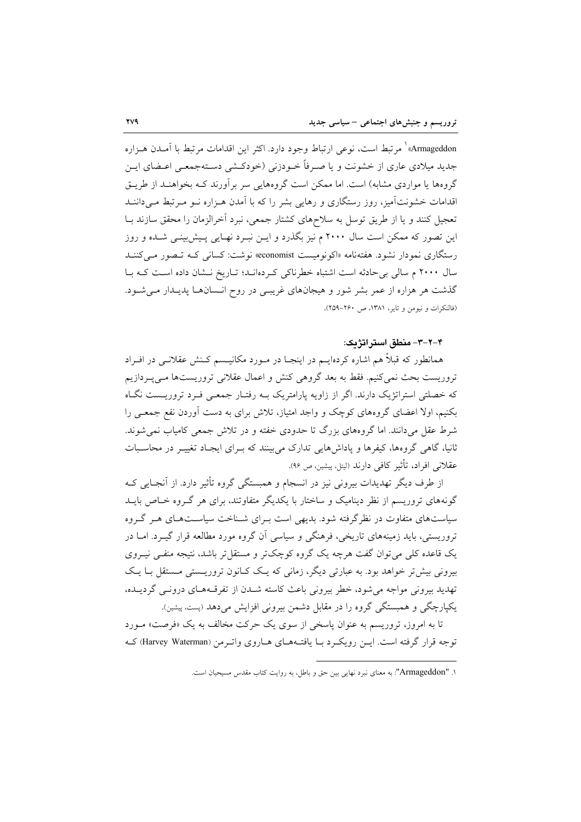Armageddon» ٰ مرتبط است، نوعی ارتباط وجود دارد. اکثر این اقدامات مرتبط با آمـدن هـزاره جدید میلادی عاری از خشونت و یا صـرفاً خـودزنی (خودکـشی دسـتهجمعـی اعـضای ایـن گروهها یا مواردی مشابه) است. اما ممکن است گروههایی سر برآورند کـه بخواهنـد از طریـق اقدامات خشونتآمیز، روز رستگاری و رهایی بشر را که با آمدن هـزاره نــو مــرتبط مــی(داننــد تعجیل کنند و یا از طریق توسل به سلاحهای کشتار جمعی، نبرد آخرالزمان را محقق سازند بـا این تصور که ممکن است سال ۲۰۰۰ م نیز بگذرد و ایـن نبـرد نهـایی پـیش:پینـی شـده و روز رستگاری نمودار نشود. هفتهنامه «اکونومیست conomist» نوشت: کسانی کـه تـصور مـیکننـد سال ۲۰۰۰ م سالی بی حادثه است اشتباه خطرناکی کردهاند؛ تاریخ نشان داده است که با گذشت هر هزاره از عمر بشر شور و هیجانهای غریبی در روح انـسانهـا پدیـدار مـی شـود. (فالنكرات و نيومن و تاير، ١٣٨١، ص ٢۶٠-٢٥٩).

۴-۲-۳- منطق استر اتژیک:

همانطور که قبلاً هم اشاره کردهایــم در اینجــا در مــورد مکانیــسم کــنش عقلانــی در افــراد تروریست بحث نمیکنیم. فقط به بعد گروهی کنش و اعمال عقلانی تروریستها مـیپـردازیم که خصلتی استراتژیک دارند. اگر از زاویه پارامتریک بـه رفتـار جمعـی فـرد تروریـست نگـاه بکنیم، اولا اعضای گروههای کوچک و واجد امتیاز، تلاش برای به دست آوردن نفع جمعـی را شرط عقل میدانند. اما گروههای بزرگ تا حدودی خفته و در تلاش جمعی کامیاب نمی شوند. ثانیا، گاهی گروهها، کیفرها و یاداشهایی تدارک می بینند که بـرای ایجـاد تغییـر در محاسـبات عقلانی افراد، تأثیر کافی دارند (لیتل، پیشین، ص ۹۶).

از طرف دیگر تهدیدات بیرونی نیز در انسجام و همبستگی گروه تأثیر دارد. از آنجـایی کـه گونههای تروریسم از نظر دینامیک و ساختار با یکدیگر متفاوتند، برای هر گـروه خـاص بایــد سیاستهای متفاوت در نظرگرفته شود. بدیهی است بـرای شـناخت سیاســتهـای هــر گــروه تروریستی، باید زمینههای تاریخی، فرهنگی و سیاسی آن گروه مورد مطالعه قرار گیـرد. امـا در یک قاعده کلی می توان گفت هرچه یک گروه کوچکتر و مستقل تر باشد، نتیجه منفـی نیــروی بیرونی بیش تر خواهد بود. به عبارتی دیگر، زمانی که یـک کـانون تروریـستی مـستقل بـا یـک تهدید بیرونی مواجه می شود، خطر بیرونی باعث کاسته شـدن از تفرقـههـای درونـی گردیـده، یکپارچگی و همبستگی گروه را در مقابل دشمن بیرونی افزایش میدهد (پست، پیشین).

تا به امروز، تروریسم به عنوان پاسخی از سوی یک حرکت مخالف به یک «فرصت» مـورد توجه قرار گرفته است. ایـن رویکرد بـا یافتـههـای هـاروی واتـرمن (Harvey Waterman) کـه

۱. "Armageddon": به معنای نبرد نهایی بین حق و باطل، به روایت کتاب مقدس مسیحیان است.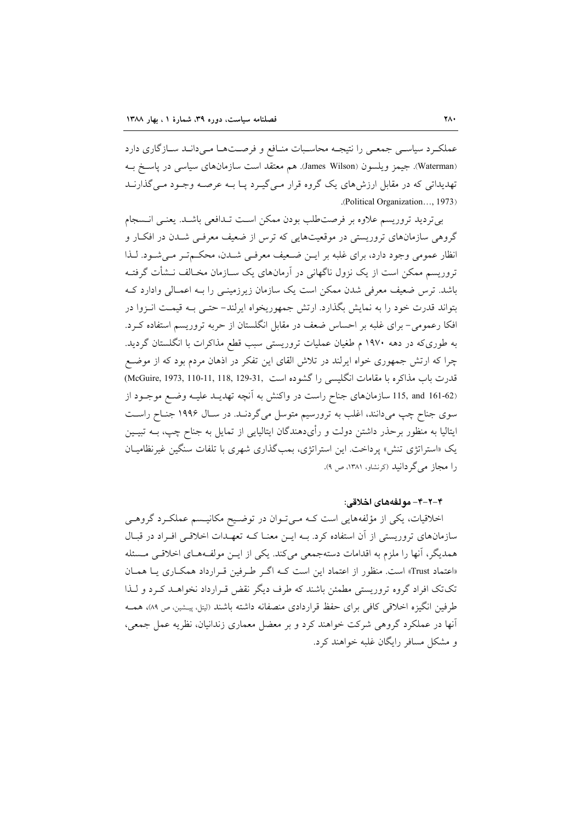عملکرد سیاسی جمعی را نتیجـه محاسـبات منـافع و فرصـتهـا مـیدانـد سـازگاری دارد (Waterman). جيمز ويلسون (James Wilson). هم معتقد است سازمان هاي سياسي در ياسخ بـه تهدیداتی که در مقابل ارزشهای یک گروه قرار مـیگیـرد پـا بـه عرصـه وجـود مـیگذارنــد .(Political Organization..., 1973).

بیتردید تروریسم علاوه بر فرصتطلب بودن ممکن است تـدافعی باشـد. یعنـی انـسجام گروهی سازمانهای تروریستی در موقعیتهایی که ترس از ضعیف معرفـی شـدن در افکـار و انظار عمومی وجود دارد، برای غلبه بر ایـن ضـعیف معرفـی شـدن، محکـمتـر مـیشـود. لـذا تروریسم ممکن است از یک نزول ناگهانی در آرمانهای یک سـازمان مخـالف نــشأت گرفتــه باشد. ترس ضعیف معرفی شدن ممکن است یک سازمان زیرزمینـی را بــه اعمــالی وادارد کــه بتواند قدرت خود را به نمایش بگذارد. ارتش جمهوریخواه ایرلند– حتـبی بـه قیمـت انـزوا در افکا رعمومی- برای غلبه بر احساس ضعف در مقابل انگلستان از حربه تروریسم استفاده کـرد. به طوریکه در دهه ۱۹۷۰ م طغیان عملیات تروریستی سبب قطع مذاکرات با انگلستان گردید. چرا که ارتش جمهوری خواه ایرلند در تلاش القای این تفکر در اذهان مردم بود که از موضع قدرت باب مذاكره با مقامات انگليسي را گشوده است .(McGuire, 1973, 110-11, 118, 129-31) (161-62 115, and 161-62 سازمانهای جناح راست در واکنش به آنچه تهدیــد علیــه وضـع موجـود از سوی جناح چپ میدانند، اغلب به ترورسیم متوسل میگردنــد. در ســال ۱۹۹۶ جنــاح راســت ایتالیا به منظور برحذر داشتن دولت و رأیدهندگان ایتالیایی از تمایل به جناح چپ، بــه تبیــین یک «استراتژی تنش» پرداخت. این استراتژی، بمبگذاری شهری با تلفات سنگین غیرنظامیـان را مجاز می گر دانید (کرنشاو، ۱۳۸۱، ص ۹).

#### ۴-۲-۴- مولفههای اخلاقی:

اخلاقیات، یکی از مؤلفههایی است کـه مـیتـوان در توضـیح مکانیـسم عملکـرد گروهـی سازمانهای تروریستی از آن استفاده کرد. بـه ایـن معنـا کـه تعهـدات اخلاقـی افـراد در قبـال همدیگر، آنها را ملزم به اقدامات دستهجمعی می کند. یکی از ایــن مولفـههـای اخلاقــی مــسئله «اعتماد Trust» است. منظور از اعتماد این است کـه اگـر طـرفین قـرارداد همکـاری بـا همـان تکتک افراد گروه تروریستی مطمئن باشند که طرف دیگر نقض قـرارداد نخواهـد کـرد و لـذا طرفین انگیزه اخلاقی کافی برای حفظ قراردادی منصفانه داشته باشند (لیتل، پیشین، ص ۸۹)، همـه آنها در عملکرد گروهی شرکت خواهند کرد و بر معضل معماری زندانیان، نظریه عمل جمعی، و مشکل مسافر رایگان غلبه خواهند کرد.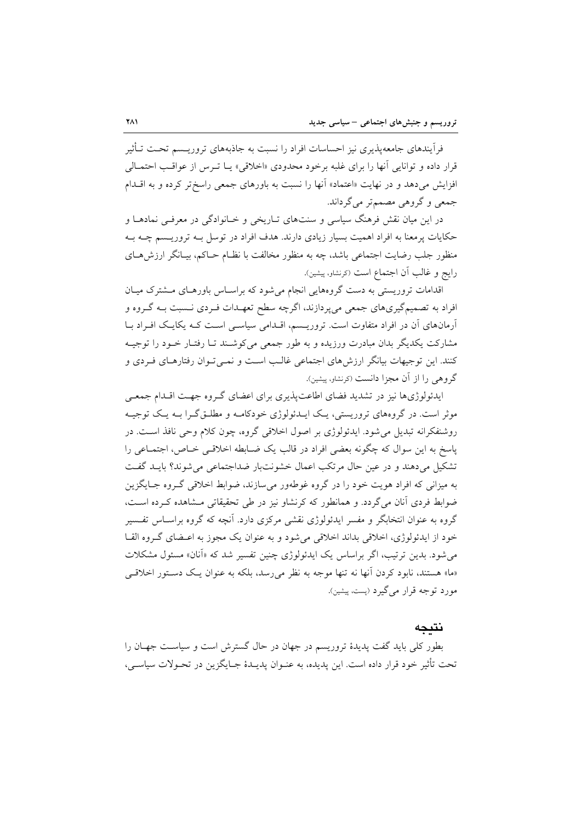فرآیندهای جامعهپذیری نیز احساسات افراد را نسبت به جاذبههای تروریــسم تحـت تــأثیر قرار داده و توانایی آنها را برای غلبه برخود محدودی «اخلاقی» یـا تـرس از عواقـب احتمـالی افزایش میدهد و در نهایت «اعتماد» آنها را نسبت به باورهای جمعی راسختر کرده و به اقــدام جمعي وگروهي مصمي تر مي گرداند.

در این میان نقش فرهنگ سیاسی و سنتهای تـاریخی و خـانوادگی در معرفـی نمادهـا و حکایات پرمعنا به افراد اهمیت بسیار زیادی دارند. هدف افراد در توسل بـه تروریـسم چـه بـه منظور جلب رضایت اجتماعی باشد، چه به منظور مخالفت با نظـام حـاکم، بیـانگر ارزش۵حـای رايج و غالب أن اجتماع است (كرنشاو، پيشين).

اقدامات تروریستی به دست گروههایی انجام میشود که براساس باورهـای مـشترک میـان افراد به تصمیمگیریهای جمعی میپردازند، اگرچه سطح تعهـدات فـردی نـسبت بـه گـروه و آرمانهای آن در افراد متفاوت است. تروریـسم، اقـدامی سیاسـی اسـت کـه یکایـک افـراد بـا مشارکت یکدیگر بدان مبادرت ورزیده و به طور جمعی میکوشـند تـا رفتـار خـود را توجیـه کنند. این توجیهات بیانگر ارزش های اجتماعی غالب است و نمـی تـوان رفتارهـای فـردی و گروهی را از آن مجزا دانست (کرنشاو، پیشین).

ایدئولوژیها نیز در تشدید فضای اطاعت پذیری برای اعضای گـروه جهـت اقـدام جمعـی موثر است. در گروههای تروریستی، یک ایـدئولوژی خودکامـه و مطلـق گـرا بـه یـک توجیـه روشنفکرانه تبدیل می شود. ایدئولوژی بر اصول اخلاقی گروه، چون کلام وحی نافذ است. در پاسخ به این سوال که چگونه بعضی افراد در قالب یک ضـابطه اخلاقـی خـاص، اجتمـاعی را تشکیل می دهند و در عین حال مرتکب اعمال خشونت بار ضداجتماعی می شوند؟ بایـد گفـت به میزانی که افراد هویت خود را در گروه غوطهور می سازند، ضوابط اخلاقی گـروه جـایگزین ضوابط فردی آنان می گردد. و همانطور که کرنشاو نیز در طی تحقیقاتی مشاهده کـرده اسـت، گروه به عنوان انتخابگر و مفسر ایدئولوژی نقشی مرکزی دارد. آنچه که گروه براسـاس تفـسیر خود از ایدئولوژی، اخلاقی بداند اخلاقی میشود و به عنوان یک مجوز به اعـضای گـروه القـا مي شود. بدين ترتيب، اگر براساس يک ايدئولوژي چنين تفسير شد که «آنان» مسئول مشکلات «ما» هستند، نابود کردن آنها نه تنها موجه به نظر می رسد، بلکه به عنوان یک دستور اخلاقی مورد توجه قرار مي گيرد (پست، پيشين).

#### نتىحە

بطور کلی باید گفت پدیدهٔ تروریسم در جهان در حال گسترش است و سیاسـت جهــان را تحت تأثیر خود قرار داده است. این پدیده، به عنـوان پدیـدهٔ جـایگزین در تحـولات سیاسـی،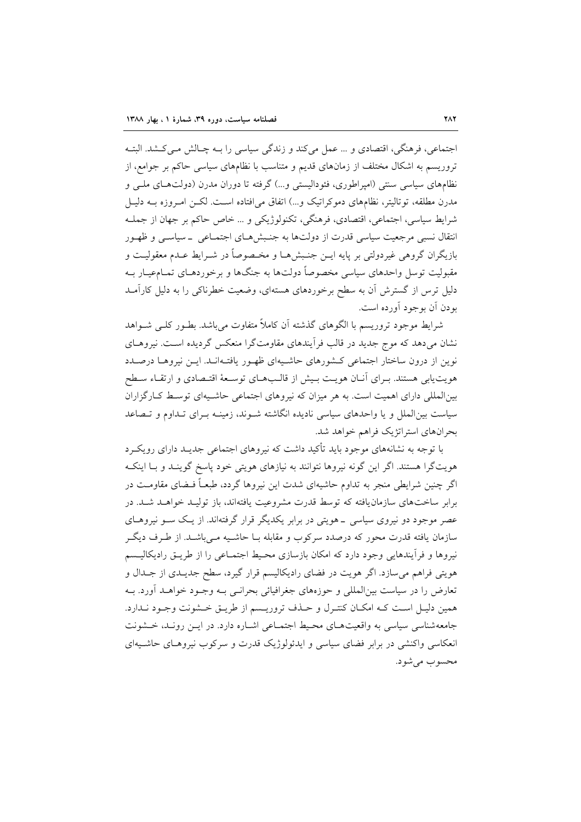اجتماعي، فرهنگي، اقتصادي و … عمل مي كند و زندگي سياسي را بـه چـالش مـي كـشد. البتـه تروریسم به اشکال مختلف از زمانهای قدیم و متناسب با نظامهای سیاسی حاکم بر جوامع، از نظامهای سیاسی سنتی (امیراطوری، فئودالیستی و...) گرفته تا دوران مدرن (دولتهای ملبی و مدرن مطلقه، توتاليتر، نظامهاي دموكراتيك و…) اتفاق مي|فتاده اسـت. لكـن امـروزه بــه دليـل شرايط سياسي، اجتماعي، اقتصادي، فرهنگي، تكنولوژيكي و … خاص حاكم بر جهان از جملـه انتقال نسبی مرجعیت سیاسی قدرت از دولتها به جنـبش هـای اجتمـاعی \_سیاسـی و ظهـور بازیگران گروهی غیردولتی بر پایه ایــن جنـبشهـا و مخـصوصاً در شــرایط عــدم معقولیــت و مقبولیت توسل واحدهای سیاسی مخصوصاً دولتها به جنگها و برخوردهـای تمـام،یـار بـه دلیل ترس از گسترش آن به سطح برخوردهای هستهای، وضعیت خطرناکی را به دلیل کارآمـد بودن آن بوجود آورده است.

شرايط موجود تروريسم با الگوهاي گذشته آن كاملاً متفاوت مي باشد. بطـور كلـي شـواهد نشان میدهد که موج جدید در قالب فرأیندهای مقاومتگرا منعکس گردیده است. نیروهـای نوین از درون ساختار اجتماعی کـشورهای حاشـیهای ظهـور یافتـهانـد. ایـن نیروهـا درصـدد هويت يابي هستند. بـراي آنـان هويـت بـيش از قالـبهـاي توسـعهٔ اقتـصادي و ارتقـاء سـطح بین المللی دارای اهمیت است. به هر میزان که نیروهای اجتماعی حاشـیهای توسـط کـارگزاران سیاست بین|لملل و یا واحدهای سیاسی نادیده انگاشته شـوند، زمینـه بـرای تـداوم و تـصاعد بحرانهاي استراتژيک فراهم خواهد شد.

با توجه به نشانههای موجود باید تأکید داشت که نیروهای اجتماعی جدیـد دارای رویکـرد هویتگرا هستند. اگر این گونه نیروها نتوانند به نیازهای هویتی خود پاسخ گوینـد و بـا اینکـه اگر چنین شرایطی منجر به تداوم حاشیهای شدت این نیروها گردد، طبعـاً فــضای مقاومــت در برابر ساختهای سازمان یافته که توسط قدرت مشروعیت یافتهاند، باز تولیـد خواهـد شـد. در عصر موجود دو نیروی سیاسی ــ هویتی در برابر یکدیگر قرار گرفتهاند. از یـک ســو نیروهــای سازمان یافته قدرت محور که درصدد سرکوب و مقابله بـا حاشـیه مـیباشـد. از طـرف دیگـر نیروها و فرأیندهایی وجود دارد که امکان بازسازی محیط اجتمـاعی را از طریــق رادیکالیــسم هویتی فراهم می سازد. اگر هویت در فضای رادیکالیسم قرار گیرد، سطح جدیـدی از جـدال و تعارض را در سیاست بین|لمللی و حوزههای جغرافیائی بحرانـبی بـه وجـود خواهــد آورد. بــه همین دلیـل اسـت کـه امکـان کنتـرل و حـذف تروریـسم از طریـق خـشونت وجـود نـدارد. جامعهشناسی سیاسی به واقعیتهای محیط اجتماعی اشباره دارد. در این رونید، خشونت انعکاسی واکنشی در برابر فضای سیاسی و ایدئولوژیک قدرت و سرکوب نیروهـای حاشـیهای محسوب مي شو د.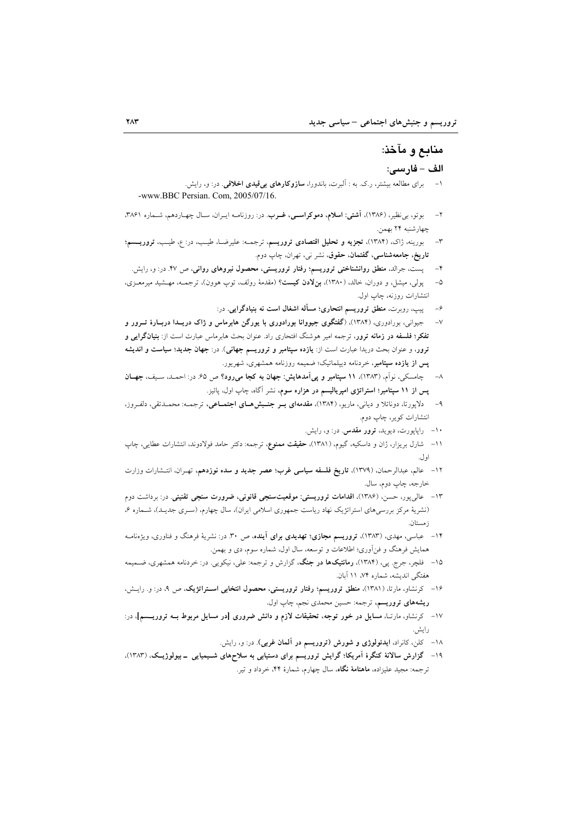# منابع و مآخذ:

#### الف - فارسى:

- ۱– برای مطالعه بیشتر، ر.ک. به : آلبرت، باندورا، **سازوکارهای بی قیدی اخلاقی**. در: و، رایش. -www.BBC Persian. Com, 2005/07/16.
- ۲– بوتو، برنظیر، (۱۳۸۶)، **آشتی: اسلام، دموکراستی، غــرب**. در: روزنامــه ایــران، سـال چهــاردهـم، شــماره ۳۸۶۱، چهارشنبه ۲۴ بهمن.
- بورینه، ژاک، (۱۳۸۴)، **تجزیه و تحلیل اقتصادی تروریسم**، ترجمـه: علیرضـا، طیـب، در: ع، طیـب، **تروریــسم**؛  $-\mathsf{r}$ **تاریخ، جامعهشناسی، گفتمان، حقوق،** نشر نی، تهران، چاپ دوم.
	- ۴– پست، جرالد، منطق روانشناختی تروریسم؛ رفتار تروریستی، محصول نیروهای روانی، ص ۴۷. در: و، رایش.
- پولی، میشل، و دوران، خالد، (۱۳۸۰)، **بنلادن کیست**؟ (مقدمهٔ رولف، توپ هوون)، ترجمــه، مهــشید میرمعــزی،  $-\Delta$ انتشارات روزنه، چاپ اول.
	- ۶– پیپ، روبرت، منطق تروریسم انتحاری؛ مسأله اشغال است نه بنیادگرایی. در:
- جیوانی، بورادوری، (۱۳۸۴)، (گفتگوی جیووانا بورادوری با یورگن هابرماس و ژاک دریـدا دربـارهٔ تــرور و  $-V$ تفکر؛ فلسفه در زمانه ترور، ترجمه امیر هوشنگ افتحاری راد. عنوان بحث هابرماس عبارت است از: **بنیانگرایی و** ترور، و عنوان بحث دریدا عبارت است از: **یازده سپتامبر و تروریسم جهانی**). در: **جهان جدید؛ سیاست و اندیشه** پس از یازده سپتامبر، خردنامه دیپلماتیک؛ ضمیمه روزنامه همشهری، شهریور.
- ٨– چامسکی، نواَم، (١٣٨٣)، ١١ سپتامبر و پیIمدهایش: جهان به کجا میرود؟ ص ۶۵. در: احمــد، سـيف، جهــان پس از ۱۱ سپتامبر؛ استراتژی امپریالیسم در هزاره سوم، نشر آگاه، چاپ اول، پائیز.
- دلاپورتا، دوناتلا و دیانی، ماریو، (۱۳۸۴)، مقدمهای بـر جنـبش هـای اجتمـاعی، ترجمـه: محمـدتقی، دلفـروز،  $-9$ انتشارات كوير، چاپ دوم.
	- ۱۰– راپاپورت، دیوید، **ترور مقدس** در: و، رایش.
- ۱۱- شارل بریزار، ژان و داسکیه، گیوم، (۱۳۸۱)، حقیقت ممنوع، ترجمه: دکتر حامد فولادوند، انتشارات عطایی، چاپ اول.
- ۱۲ عالم، عبدالرحمان، (۱۳۷۹)، **تاریخ فلسفه سیاسی غرب؛ عصر جدید و سده نوزدهم**، تهـران، انتـشارات وزارت خارجه، چاپ دوم، سال.
- ۱۳ عال<sub>ی ب</sub>ور، حسن، (۱۳۸۶)، اقدامات تروریستی: موقعیتسنجی قانونی، ضرورت سنجی تقنینی. در: برداشت دوم (نشریهٔ مرکز بررسیهای استراتژیک نهاد ریاست جمهوری اسلامی ایران)، سال چهارم، (سـری جدیـد)، شـماره ۶، : مستان
- ۱۴ عباسی، مهدی، (۱۳۸۳)، **تروریسم مجازی؛ تهدیدی برای آینده**، ص ۳۰. در: نشریهٔ فرهنگ و فناوری، ویژهنامــه همایش فرهنگ و فن|وری؛ اطلاعات و توسعه، سال اول، شماره سوم، دی و بهمن.
- ۱۵- فلچر، جرج. پی، (۱۳۸۴)، **رمانتیکها در جنگ**، گزارش و ترجمه: علی، نیکویی. در: خردنامه همشهری، ضـمیمه هفتگی اندیشه، شماره ۷۴، ۱۱ آبان.
- ۱۶- کرنشاو، مارتا، (۱۳۸۱)، منطق تروریسم؛ رفتار تروریستی، محصول انتخابی استراتژیک، ص ۹، در: و. رایش، ریشههای تروریسم، ترجمه: حسین محمدی نجم، چاپ اول.
- ۱۷ کرنشاو، مارتـا، مسایل <mark>در خور توجه، تحقیقات لازم و دانش ضروری [در مسایل مربوط بــه تروریـــــم]،</mark> در: رايش.
	- ۱۸- کلن، کانراد، ایدئولوژی و شورش (تروریسم در آلمان غربی). در: و، رایش.
- ۱۹- گزارش سالانهٔ کنگرهٔ اَمریکا؛ گرایش تروریسم برای دستیابی به سلاحهای شــیمیایی \_ بیولوژیــک، (۱۳۸۳)، ترجمه: مجید علیزاده، ماهنامهٔ نگاه، سال چهارم، شمارهٔ ۴۴، خرداد و تیر.